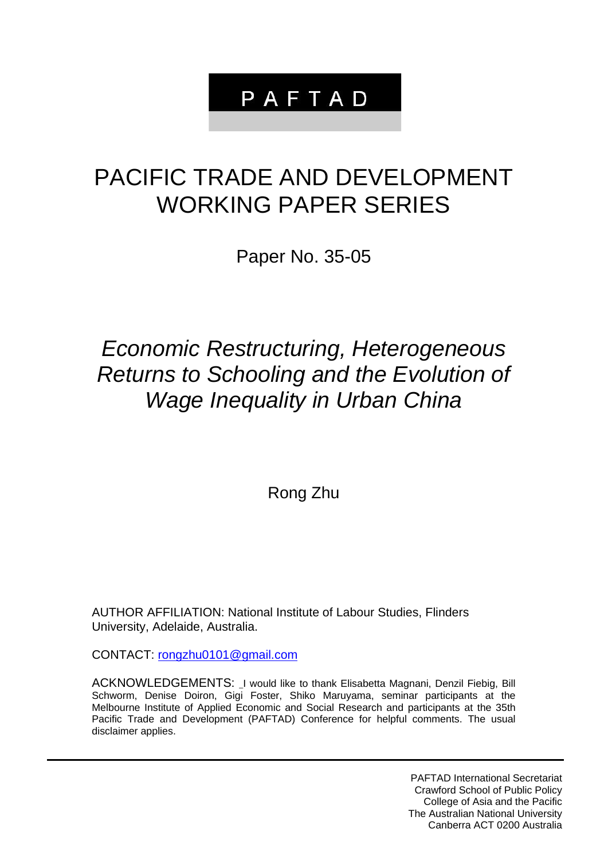# PAFTAD

# PACIFIC TRADE AND DEVELOPMENT WORKING PAPER SERIES

Paper No. 35-05

## *Economic Restructuring, Heterogeneous Returns to Schooling and the Evolution of Wage Inequality in Urban China*

Rong Zhu

AUTHOR AFFILIATION: National Institute of Labour Studies, Flinders University, Adelaide, Australia.

CONTACT: [rongzhu0101@gmail.com](mailto:rongzhu0101@gmail.com)

ACKNOWLEDGEMENTS: \_I would like to thank Elisabetta Magnani, Denzil Fiebig, Bill Schworm, Denise Doiron, Gigi Foster, Shiko Maruyama, seminar participants at the Melbourne Institute of Applied Economic and Social Research and participants at the 35th Pacific Trade and Development (PAFTAD) Conference for helpful comments. The usual disclaimer applies.

> PAFTAD International Secretariat Crawford School of Public Policy College of Asia and the Pacific The Australian National University Canberra ACT 0200 Australia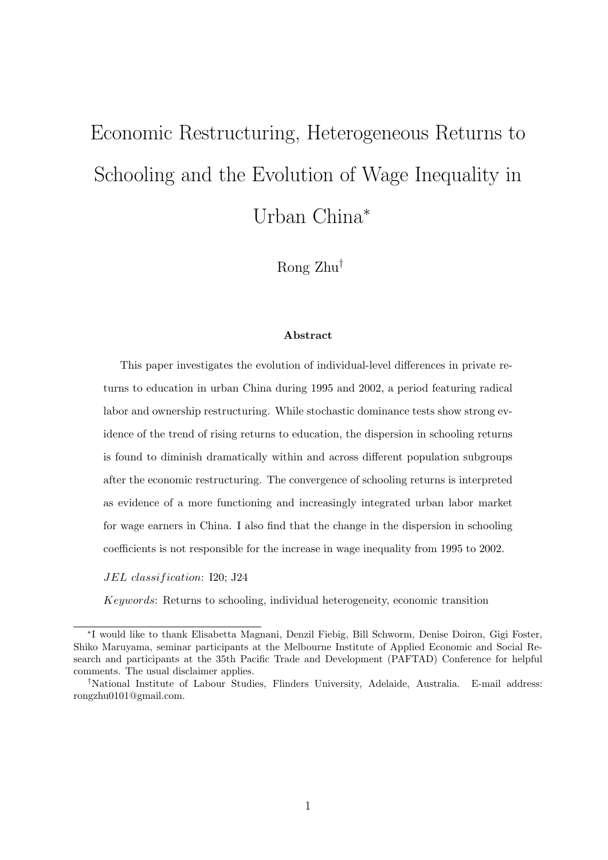# Economic Restructuring, Heterogeneous Returns to Schooling and the Evolution of Wage Inequality in Urban China<sup>∗</sup>

Rong Zhu†

#### Abstract

This paper investigates the evolution of individual-level differences in private returns to education in urban China during 1995 and 2002, a period featuring radical labor and ownership restructuring. While stochastic dominance tests show strong evidence of the trend of rising returns to education, the dispersion in schooling returns is found to diminish dramatically within and across different population subgroups after the economic restructuring. The convergence of schooling returns is interpreted as evidence of a more functioning and increasingly integrated urban labor market for wage earners in China. I also find that the change in the dispersion in schooling coefficients is not responsible for the increase in wage inequality from 1995 to 2002.

JEL classification: I20; J24

Keywords: Returns to schooling, individual heterogeneity, economic transition

<sup>∗</sup> I would like to thank Elisabetta Magnani, Denzil Fiebig, Bill Schworm, Denise Doiron, Gigi Foster, Shiko Maruyama, seminar participants at the Melbourne Institute of Applied Economic and Social Research and participants at the 35th Pacific Trade and Development (PAFTAD) Conference for helpful comments. The usual disclaimer applies.

<sup>†</sup>National Institute of Labour Studies, Flinders University, Adelaide, Australia. E-mail address: rongzhu0101@gmail.com.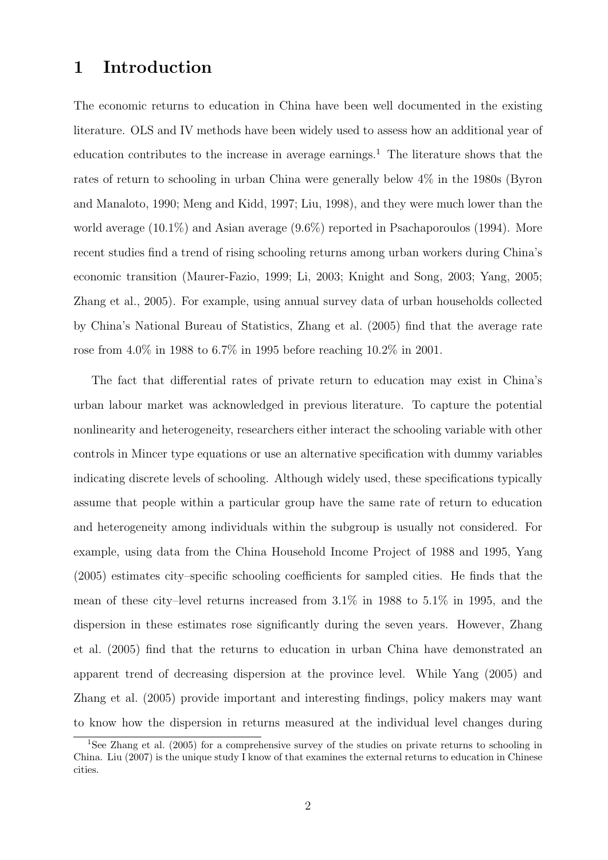## 1 Introduction

The economic returns to education in China have been well documented in the existing literature. OLS and IV methods have been widely used to assess how an additional year of education contributes to the increase in average earnings.<sup>1</sup> The literature shows that the rates of return to schooling in urban China were generally below 4% in the 1980s (Byron and Manaloto, 1990; Meng and Kidd, 1997; Liu, 1998), and they were much lower than the world average (10.1%) and Asian average (9.6%) reported in Psachaporoulos (1994). More recent studies find a trend of rising schooling returns among urban workers during China's economic transition (Maurer-Fazio, 1999; Li, 2003; Knight and Song, 2003; Yang, 2005; Zhang et al., 2005). For example, using annual survey data of urban households collected by China's National Bureau of Statistics, Zhang et al. (2005) find that the average rate rose from 4.0% in 1988 to 6.7% in 1995 before reaching 10.2% in 2001.

The fact that differential rates of private return to education may exist in China's urban labour market was acknowledged in previous literature. To capture the potential nonlinearity and heterogeneity, researchers either interact the schooling variable with other controls in Mincer type equations or use an alternative specification with dummy variables indicating discrete levels of schooling. Although widely used, these specifications typically assume that people within a particular group have the same rate of return to education and heterogeneity among individuals within the subgroup is usually not considered. For example, using data from the China Household Income Project of 1988 and 1995, Yang (2005) estimates city–specific schooling coefficients for sampled cities. He finds that the mean of these city–level returns increased from 3.1% in 1988 to 5.1% in 1995, and the dispersion in these estimates rose significantly during the seven years. However, Zhang et al. (2005) find that the returns to education in urban China have demonstrated an apparent trend of decreasing dispersion at the province level. While Yang (2005) and Zhang et al. (2005) provide important and interesting findings, policy makers may want to know how the dispersion in returns measured at the individual level changes during

<sup>&</sup>lt;sup>1</sup>See Zhang et al. (2005) for a comprehensive survey of the studies on private returns to schooling in China. Liu (2007) is the unique study I know of that examines the external returns to education in Chinese cities.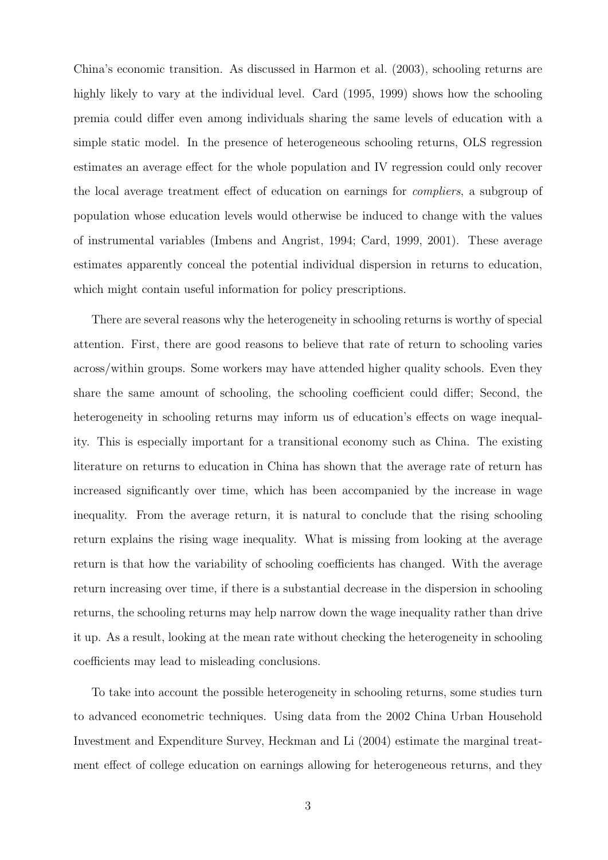China's economic transition. As discussed in Harmon et al. (2003), schooling returns are highly likely to vary at the individual level. Card (1995, 1999) shows how the schooling premia could differ even among individuals sharing the same levels of education with a simple static model. In the presence of heterogeneous schooling returns, OLS regression estimates an average effect for the whole population and IV regression could only recover the local average treatment effect of education on earnings for compliers, a subgroup of population whose education levels would otherwise be induced to change with the values of instrumental variables (Imbens and Angrist, 1994; Card, 1999, 2001). These average estimates apparently conceal the potential individual dispersion in returns to education, which might contain useful information for policy prescriptions.

There are several reasons why the heterogeneity in schooling returns is worthy of special attention. First, there are good reasons to believe that rate of return to schooling varies across/within groups. Some workers may have attended higher quality schools. Even they share the same amount of schooling, the schooling coefficient could differ; Second, the heterogeneity in schooling returns may inform us of education's effects on wage inequality. This is especially important for a transitional economy such as China. The existing literature on returns to education in China has shown that the average rate of return has increased significantly over time, which has been accompanied by the increase in wage inequality. From the average return, it is natural to conclude that the rising schooling return explains the rising wage inequality. What is missing from looking at the average return is that how the variability of schooling coefficients has changed. With the average return increasing over time, if there is a substantial decrease in the dispersion in schooling returns, the schooling returns may help narrow down the wage inequality rather than drive it up. As a result, looking at the mean rate without checking the heterogeneity in schooling coefficients may lead to misleading conclusions.

To take into account the possible heterogeneity in schooling returns, some studies turn to advanced econometric techniques. Using data from the 2002 China Urban Household Investment and Expenditure Survey, Heckman and Li (2004) estimate the marginal treatment effect of college education on earnings allowing for heterogeneous returns, and they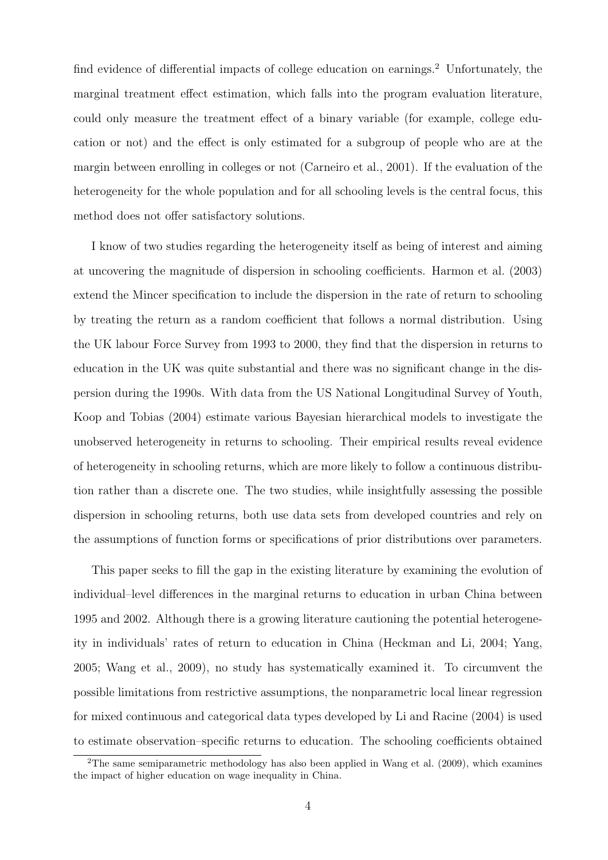find evidence of differential impacts of college education on earnings.<sup>2</sup> Unfortunately, the marginal treatment effect estimation, which falls into the program evaluation literature, could only measure the treatment effect of a binary variable (for example, college education or not) and the effect is only estimated for a subgroup of people who are at the margin between enrolling in colleges or not (Carneiro et al., 2001). If the evaluation of the heterogeneity for the whole population and for all schooling levels is the central focus, this method does not offer satisfactory solutions.

I know of two studies regarding the heterogeneity itself as being of interest and aiming at uncovering the magnitude of dispersion in schooling coefficients. Harmon et al. (2003) extend the Mincer specification to include the dispersion in the rate of return to schooling by treating the return as a random coefficient that follows a normal distribution. Using the UK labour Force Survey from 1993 to 2000, they find that the dispersion in returns to education in the UK was quite substantial and there was no significant change in the dispersion during the 1990s. With data from the US National Longitudinal Survey of Youth, Koop and Tobias (2004) estimate various Bayesian hierarchical models to investigate the unobserved heterogeneity in returns to schooling. Their empirical results reveal evidence of heterogeneity in schooling returns, which are more likely to follow a continuous distribution rather than a discrete one. The two studies, while insightfully assessing the possible dispersion in schooling returns, both use data sets from developed countries and rely on the assumptions of function forms or specifications of prior distributions over parameters.

This paper seeks to fill the gap in the existing literature by examining the evolution of individual–level differences in the marginal returns to education in urban China between 1995 and 2002. Although there is a growing literature cautioning the potential heterogeneity in individuals' rates of return to education in China (Heckman and Li, 2004; Yang, 2005; Wang et al., 2009), no study has systematically examined it. To circumvent the possible limitations from restrictive assumptions, the nonparametric local linear regression for mixed continuous and categorical data types developed by Li and Racine (2004) is used to estimate observation–specific returns to education. The schooling coefficients obtained

<sup>&</sup>lt;sup>2</sup>The same semiparametric methodology has also been applied in Wang et al.  $(2009)$ , which examines the impact of higher education on wage inequality in China.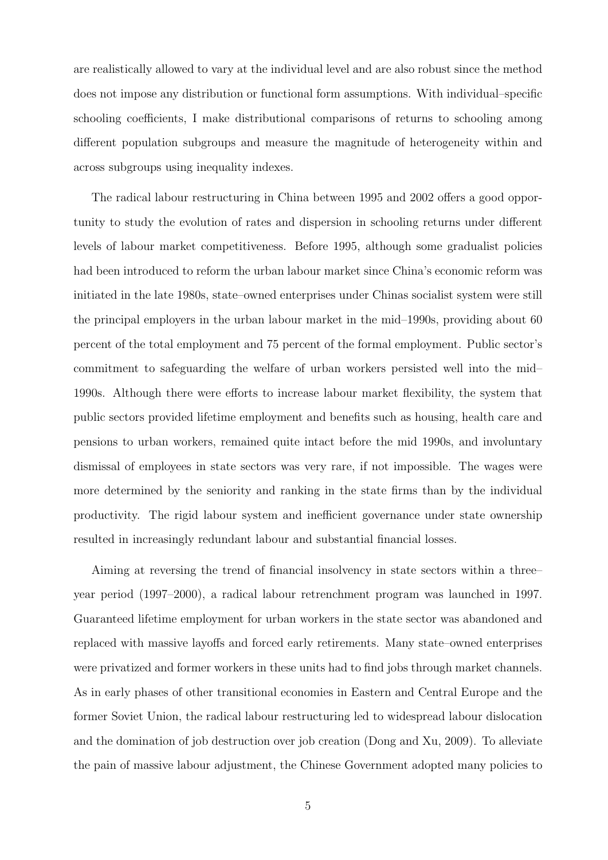are realistically allowed to vary at the individual level and are also robust since the method does not impose any distribution or functional form assumptions. With individual–specific schooling coefficients, I make distributional comparisons of returns to schooling among different population subgroups and measure the magnitude of heterogeneity within and across subgroups using inequality indexes.

The radical labour restructuring in China between 1995 and 2002 offers a good opportunity to study the evolution of rates and dispersion in schooling returns under different levels of labour market competitiveness. Before 1995, although some gradualist policies had been introduced to reform the urban labour market since China's economic reform was initiated in the late 1980s, state–owned enterprises under Chinas socialist system were still the principal employers in the urban labour market in the mid–1990s, providing about 60 percent of the total employment and 75 percent of the formal employment. Public sector's commitment to safeguarding the welfare of urban workers persisted well into the mid– 1990s. Although there were efforts to increase labour market flexibility, the system that public sectors provided lifetime employment and benefits such as housing, health care and pensions to urban workers, remained quite intact before the mid 1990s, and involuntary dismissal of employees in state sectors was very rare, if not impossible. The wages were more determined by the seniority and ranking in the state firms than by the individual productivity. The rigid labour system and inefficient governance under state ownership resulted in increasingly redundant labour and substantial financial losses.

Aiming at reversing the trend of financial insolvency in state sectors within a three– year period (1997–2000), a radical labour retrenchment program was launched in 1997. Guaranteed lifetime employment for urban workers in the state sector was abandoned and replaced with massive layoffs and forced early retirements. Many state–owned enterprises were privatized and former workers in these units had to find jobs through market channels. As in early phases of other transitional economies in Eastern and Central Europe and the former Soviet Union, the radical labour restructuring led to widespread labour dislocation and the domination of job destruction over job creation (Dong and Xu, 2009). To alleviate the pain of massive labour adjustment, the Chinese Government adopted many policies to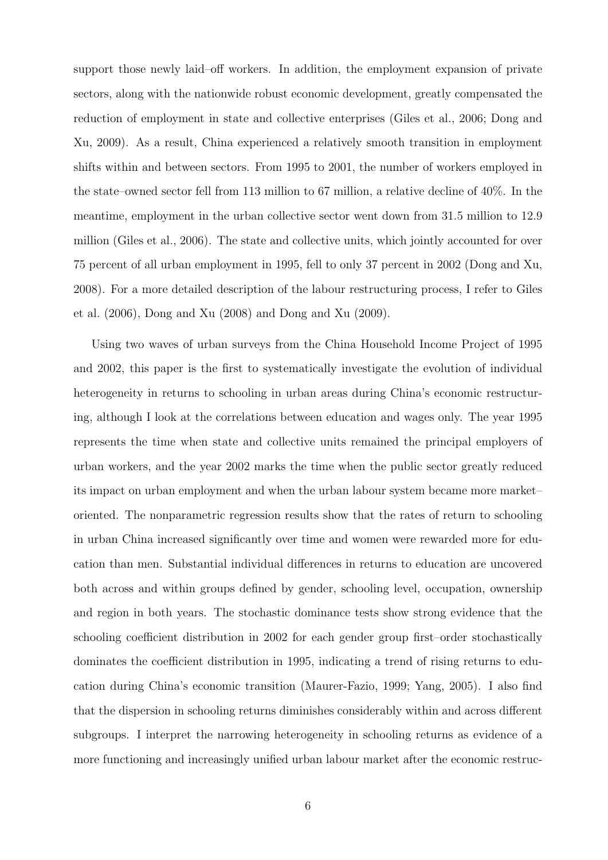support those newly laid–off workers. In addition, the employment expansion of private sectors, along with the nationwide robust economic development, greatly compensated the reduction of employment in state and collective enterprises (Giles et al., 2006; Dong and Xu, 2009). As a result, China experienced a relatively smooth transition in employment shifts within and between sectors. From 1995 to 2001, the number of workers employed in the state–owned sector fell from 113 million to 67 million, a relative decline of 40%. In the meantime, employment in the urban collective sector went down from 31.5 million to 12.9 million (Giles et al., 2006). The state and collective units, which jointly accounted for over 75 percent of all urban employment in 1995, fell to only 37 percent in 2002 (Dong and Xu, 2008). For a more detailed description of the labour restructuring process, I refer to Giles et al. (2006), Dong and Xu (2008) and Dong and Xu (2009).

Using two waves of urban surveys from the China Household Income Project of 1995 and 2002, this paper is the first to systematically investigate the evolution of individual heterogeneity in returns to schooling in urban areas during China's economic restructuring, although I look at the correlations between education and wages only. The year 1995 represents the time when state and collective units remained the principal employers of urban workers, and the year 2002 marks the time when the public sector greatly reduced its impact on urban employment and when the urban labour system became more market– oriented. The nonparametric regression results show that the rates of return to schooling in urban China increased significantly over time and women were rewarded more for education than men. Substantial individual differences in returns to education are uncovered both across and within groups defined by gender, schooling level, occupation, ownership and region in both years. The stochastic dominance tests show strong evidence that the schooling coefficient distribution in 2002 for each gender group first–order stochastically dominates the coefficient distribution in 1995, indicating a trend of rising returns to education during China's economic transition (Maurer-Fazio, 1999; Yang, 2005). I also find that the dispersion in schooling returns diminishes considerably within and across different subgroups. I interpret the narrowing heterogeneity in schooling returns as evidence of a more functioning and increasingly unified urban labour market after the economic restruc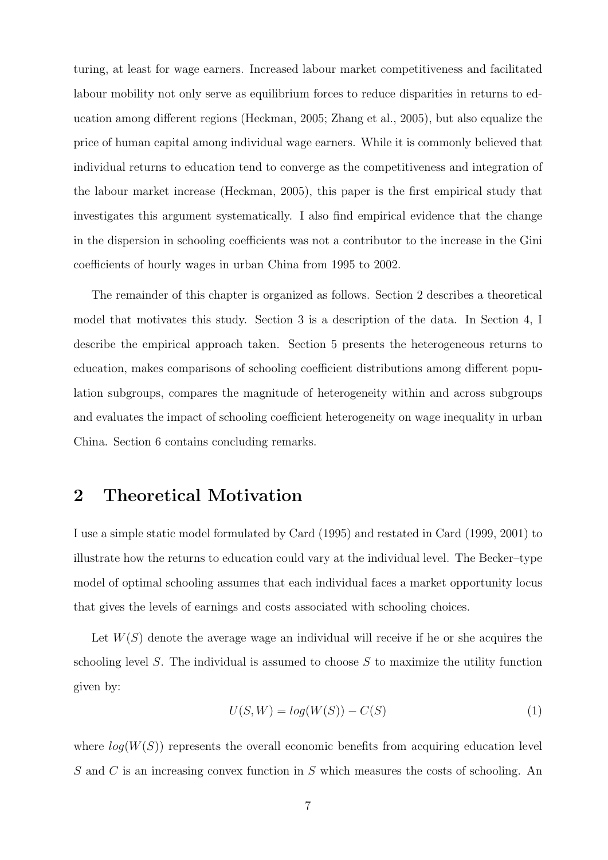turing, at least for wage earners. Increased labour market competitiveness and facilitated labour mobility not only serve as equilibrium forces to reduce disparities in returns to education among different regions (Heckman, 2005; Zhang et al., 2005), but also equalize the price of human capital among individual wage earners. While it is commonly believed that individual returns to education tend to converge as the competitiveness and integration of the labour market increase (Heckman, 2005), this paper is the first empirical study that investigates this argument systematically. I also find empirical evidence that the change in the dispersion in schooling coefficients was not a contributor to the increase in the Gini coefficients of hourly wages in urban China from 1995 to 2002.

The remainder of this chapter is organized as follows. Section 2 describes a theoretical model that motivates this study. Section 3 is a description of the data. In Section 4, I describe the empirical approach taken. Section 5 presents the heterogeneous returns to education, makes comparisons of schooling coefficient distributions among different population subgroups, compares the magnitude of heterogeneity within and across subgroups and evaluates the impact of schooling coefficient heterogeneity on wage inequality in urban China. Section 6 contains concluding remarks.

## 2 Theoretical Motivation

I use a simple static model formulated by Card (1995) and restated in Card (1999, 2001) to illustrate how the returns to education could vary at the individual level. The Becker–type model of optimal schooling assumes that each individual faces a market opportunity locus that gives the levels of earnings and costs associated with schooling choices.

Let  $W(S)$  denote the average wage an individual will receive if he or she acquires the schooling level  $S$ . The individual is assumed to choose  $S$  to maximize the utility function given by:

$$
U(S, W) = log(W(S)) - C(S)
$$
\n<sup>(1)</sup>

where  $log(W(S))$  represents the overall economic benefits from acquiring education level S and C is an increasing convex function in S which measures the costs of schooling. An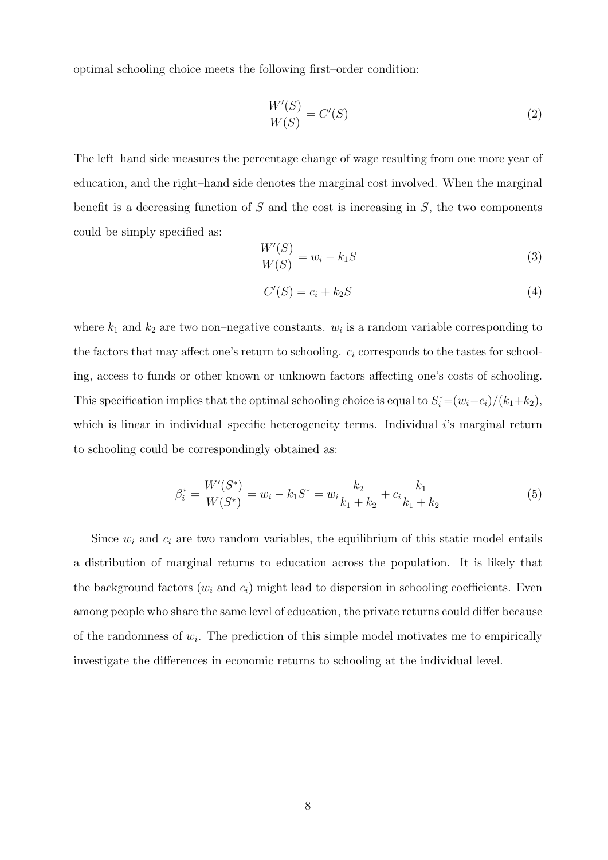optimal schooling choice meets the following first–order condition:

$$
\frac{W'(S)}{W(S)} = C'(S) \tag{2}
$$

The left–hand side measures the percentage change of wage resulting from one more year of education, and the right–hand side denotes the marginal cost involved. When the marginal benefit is a decreasing function of  $S$  and the cost is increasing in  $S$ , the two components could be simply specified as:

$$
\frac{W'(S)}{W(S)} = w_i - k_1 S \tag{3}
$$

$$
C'(S) = c_i + k_2 S \tag{4}
$$

where  $k_1$  and  $k_2$  are two non-negative constants.  $w_i$  is a random variable corresponding to the factors that may affect one's return to schooling.  $c_i$  corresponds to the tastes for schooling, access to funds or other known or unknown factors affecting one's costs of schooling. This specification implies that the optimal schooling choice is equal to  $S_i^* = (w_i - c_i)/(k_1 + k_2)$ , which is linear in individual–specific heterogeneity terms. Individual  $i$ 's marginal return to schooling could be correspondingly obtained as:

$$
\beta_i^* = \frac{W'(S^*)}{W(S^*)} = w_i - k_1 S^* = w_i \frac{k_2}{k_1 + k_2} + c_i \frac{k_1}{k_1 + k_2} \tag{5}
$$

Since  $w_i$  and  $c_i$  are two random variables, the equilibrium of this static model entails a distribution of marginal returns to education across the population. It is likely that the background factors  $(w_i \text{ and } c_i)$  might lead to dispersion in schooling coefficients. Even among people who share the same level of education, the private returns could differ because of the randomness of  $w_i$ . The prediction of this simple model motivates me to empirically investigate the differences in economic returns to schooling at the individual level.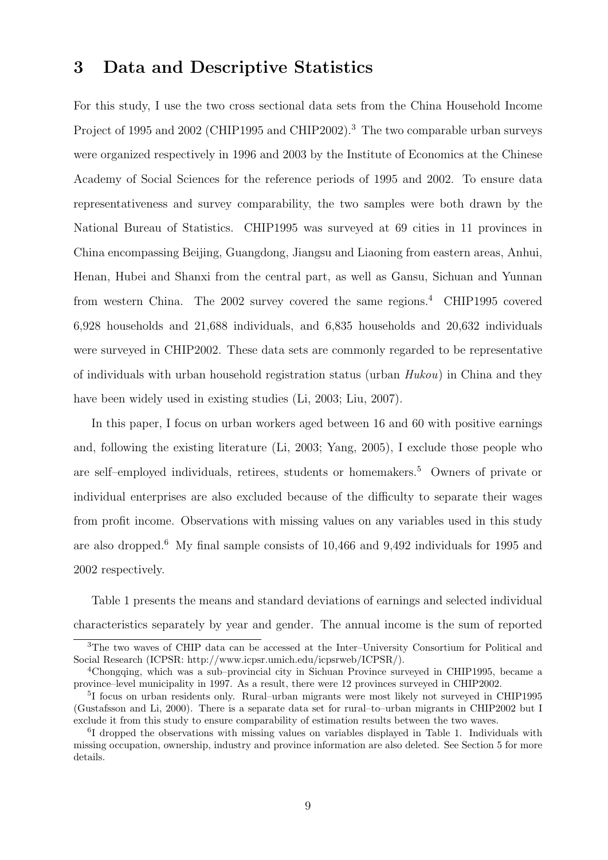## 3 Data and Descriptive Statistics

For this study, I use the two cross sectional data sets from the China Household Income Project of 1995 and 2002 (CHIP1995 and CHIP2002).<sup>3</sup> The two comparable urban surveys were organized respectively in 1996 and 2003 by the Institute of Economics at the Chinese Academy of Social Sciences for the reference periods of 1995 and 2002. To ensure data representativeness and survey comparability, the two samples were both drawn by the National Bureau of Statistics. CHIP1995 was surveyed at 69 cities in 11 provinces in China encompassing Beijing, Guangdong, Jiangsu and Liaoning from eastern areas, Anhui, Henan, Hubei and Shanxi from the central part, as well as Gansu, Sichuan and Yunnan from western China. The 2002 survey covered the same regions.<sup>4</sup> CHIP1995 covered 6,928 households and 21,688 individuals, and 6,835 households and 20,632 individuals were surveyed in CHIP2002. These data sets are commonly regarded to be representative of individuals with urban household registration status (urban  $Hukou$ ) in China and they have been widely used in existing studies (Li, 2003; Liu, 2007).

In this paper, I focus on urban workers aged between 16 and 60 with positive earnings and, following the existing literature (Li, 2003; Yang, 2005), I exclude those people who are self–employed individuals, retirees, students or homemakers.<sup>5</sup> Owners of private or individual enterprises are also excluded because of the difficulty to separate their wages from profit income. Observations with missing values on any variables used in this study are also dropped.<sup>6</sup> My final sample consists of 10,466 and 9,492 individuals for 1995 and 2002 respectively.

Table 1 presents the means and standard deviations of earnings and selected individual characteristics separately by year and gender. The annual income is the sum of reported

<sup>3</sup>The two waves of CHIP data can be accessed at the Inter–University Consortium for Political and Social Research (ICPSR: http://www.icpsr.umich.edu/icpsrweb/ICPSR/).

<sup>4</sup>Chongqing, which was a sub–provincial city in Sichuan Province surveyed in CHIP1995, became a province–level municipality in 1997. As a result, there were 12 provinces surveyed in CHIP2002.

<sup>5</sup> I focus on urban residents only. Rural–urban migrants were most likely not surveyed in CHIP1995 (Gustafsson and Li, 2000). There is a separate data set for rural–to–urban migrants in CHIP2002 but I exclude it from this study to ensure comparability of estimation results between the two waves.

<sup>&</sup>lt;sup>6</sup>I dropped the observations with missing values on variables displayed in Table 1. Individuals with missing occupation, ownership, industry and province information are also deleted. See Section 5 for more details.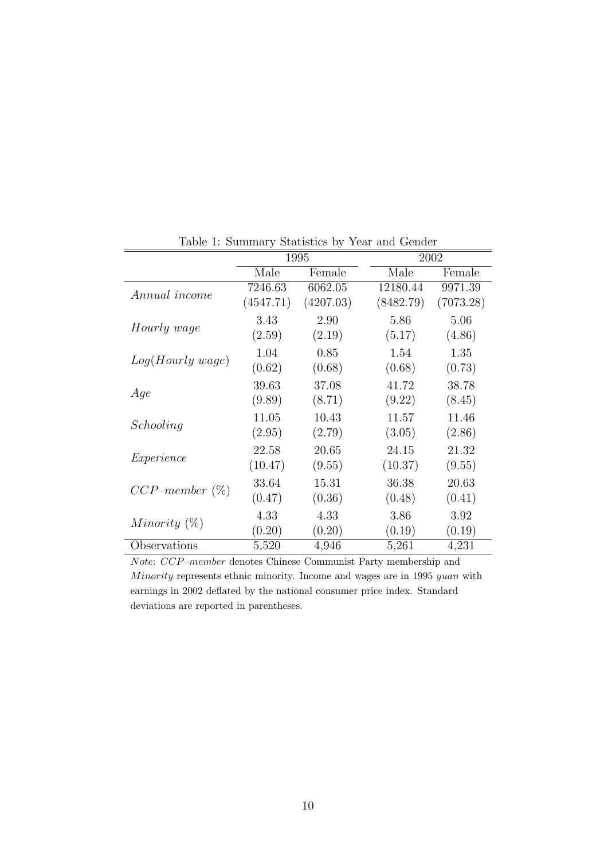| $\mathbf{r}$ . $\sim$ $\alpha$ <i>mmon</i> ,<br>$\sim$ 0.00 0.00 $\sim$ 1 |           |           |           |           |  |  |  |  |
|---------------------------------------------------------------------------|-----------|-----------|-----------|-----------|--|--|--|--|
|                                                                           |           | 1995      | 2002      |           |  |  |  |  |
|                                                                           | Male      | Female    | Male      | Female    |  |  |  |  |
| Annual income                                                             | 7246.63   | 6062.05   | 12180.44  | 9971.39   |  |  |  |  |
|                                                                           | (4547.71) | (4207.03) | (8482.79) | (7073.28) |  |  |  |  |
|                                                                           | 3.43      | 2.90      | 5.86      | 5.06      |  |  |  |  |
| <i>Hourly wage</i>                                                        | (2.59)    | (2.19)    | (5.17)    | (4.86)    |  |  |  |  |
|                                                                           | 1.04      | 0.85      | 1.54      | 1.35      |  |  |  |  |
| Log(Hourly wage)                                                          | (0.62)    | (0.68)    | (0.68)    | (0.73)    |  |  |  |  |
|                                                                           | 39.63     | 37.08     | 41.72     | 38.78     |  |  |  |  |
| Age                                                                       | (9.89)    | (8.71)    | (9.22)    | (8.45)    |  |  |  |  |
|                                                                           | 11.05     | 10.43     | 11.57     | 11.46     |  |  |  |  |
| Schooling                                                                 | (2.95)    | (2.79)    | (3.05)    | (2.86)    |  |  |  |  |
|                                                                           | 22.58     | 20.65     | 24.15     | 21.32     |  |  |  |  |
| Experience                                                                | (10.47)   | (9.55)    | (10.37)   | (9.55)    |  |  |  |  |
|                                                                           | 33.64     | 15.31     | 36.38     | 20.63     |  |  |  |  |
| $CCP$ -member $(\%)$                                                      | (0.47)    | (0.36)    | (0.48)    | (0.41)    |  |  |  |  |
|                                                                           | 4.33      | 4.33      | 3.86      | 3.92      |  |  |  |  |
| Minority $(\%)$                                                           | (0.20)    | (0.20)    | (0.19)    | (0.19)    |  |  |  |  |
| Observations                                                              | 5,520     | 4,946     | 5,261     | 4,231     |  |  |  |  |

Table 1: Summary Statistics by Year and Gender

Note: CCP–member denotes Chinese Communist Party membership and  $Minority$  represents ethnic minority. Income and wages are in 1995  $yuan$  with earnings in 2002 deflated by the national consumer price index. Standard deviations are reported in parentheses.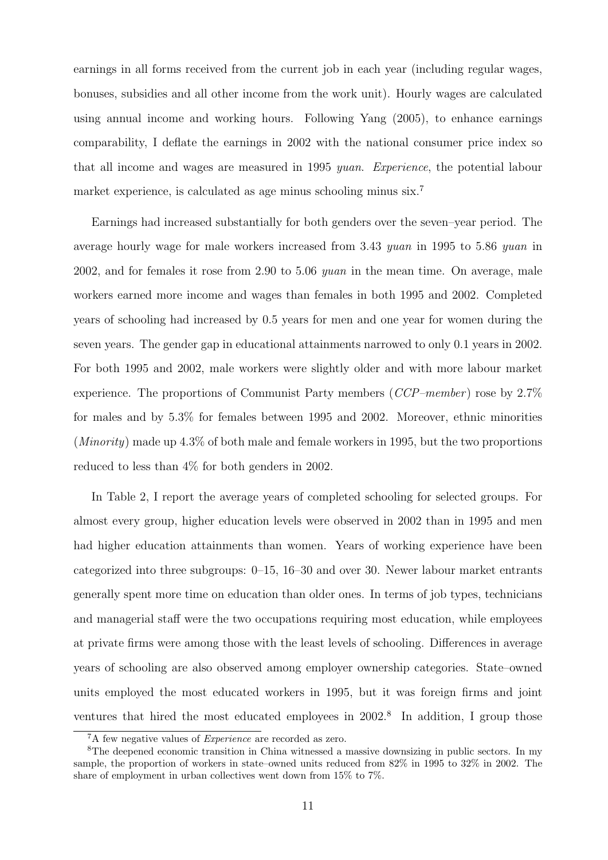earnings in all forms received from the current job in each year (including regular wages, bonuses, subsidies and all other income from the work unit). Hourly wages are calculated using annual income and working hours. Following Yang (2005), to enhance earnings comparability, I deflate the earnings in 2002 with the national consumer price index so that all income and wages are measured in 1995 yuan. Experience, the potential labour market experience, is calculated as age minus schooling minus six.<sup>7</sup>

Earnings had increased substantially for both genders over the seven–year period. The average hourly wage for male workers increased from 3.43 yuan in 1995 to 5.86 yuan in 2002, and for females it rose from 2.90 to 5.06 yuan in the mean time. On average, male workers earned more income and wages than females in both 1995 and 2002. Completed years of schooling had increased by 0.5 years for men and one year for women during the seven years. The gender gap in educational attainments narrowed to only 0.1 years in 2002. For both 1995 and 2002, male workers were slightly older and with more labour market experience. The proportions of Communist Party members ( $CCP-member$ ) rose by 2.7% for males and by 5.3% for females between 1995 and 2002. Moreover, ethnic minorities  $(Minority)$  made up 4.3% of both male and female workers in 1995, but the two proportions reduced to less than 4% for both genders in 2002.

In Table 2, I report the average years of completed schooling for selected groups. For almost every group, higher education levels were observed in 2002 than in 1995 and men had higher education attainments than women. Years of working experience have been categorized into three subgroups: 0–15, 16–30 and over 30. Newer labour market entrants generally spent more time on education than older ones. In terms of job types, technicians and managerial staff were the two occupations requiring most education, while employees at private firms were among those with the least levels of schooling. Differences in average years of schooling are also observed among employer ownership categories. State–owned units employed the most educated workers in 1995, but it was foreign firms and joint ventures that hired the most educated employees in  $2002$ .<sup>8</sup> In addition, I group those

<sup>7</sup>A few negative values of Experience are recorded as zero.

<sup>&</sup>lt;sup>8</sup>The deepened economic transition in China witnessed a massive downsizing in public sectors. In my sample, the proportion of workers in state–owned units reduced from 82% in 1995 to 32% in 2002. The share of employment in urban collectives went down from 15% to 7%.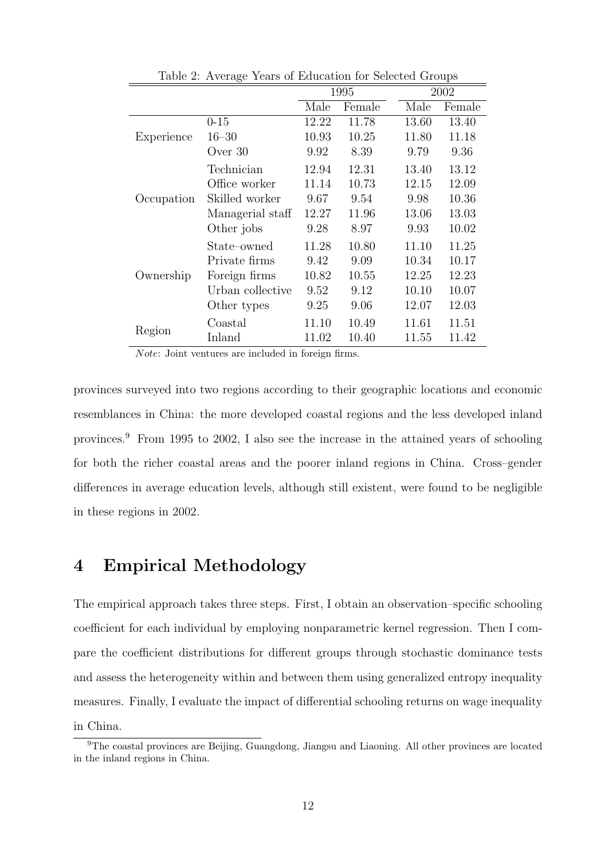|            |                  | 1995  |        |       | 2002   |
|------------|------------------|-------|--------|-------|--------|
|            |                  | Male  | Female | Male  | Female |
|            | $0 - 15$         | 12.22 | 11.78  | 13.60 | 13.40  |
| Experience | $16 - 30$        | 10.93 | 10.25  | 11.80 | 11.18  |
|            | Over 30          | 9.92  | 8.39   | 9.79  | 9.36   |
|            | Technician       | 12.94 | 12.31  | 13.40 | 13.12  |
|            | Office worker    | 11.14 | 10.73  | 12.15 | 12.09  |
| Occupation | Skilled worker   | 9.67  | 9.54   | 9.98  | 10.36  |
|            | Managerial staff | 12.27 | 11.96  | 13.06 | 13.03  |
|            | Other jobs       | 9.28  | 8.97   | 9.93  | 10.02  |
|            | State-owned      | 11.28 | 10.80  | 11.10 | 11.25  |
|            | Private firms    | 9.42  | 9.09   | 10.34 | 10.17  |
| Ownership  | Foreign firms    | 10.82 | 10.55  | 12.25 | 12.23  |
|            | Urban collective | 9.52  | 9.12   | 10.10 | 10.07  |
|            | Other types      | 9.25  | 9.06   | 12.07 | 12.03  |
| Region     | Coastal          | 11.10 | 10.49  | 11.61 | 11.51  |
|            | Inland           | 11.02 | 10.40  | 11.55 | 11.42  |

Table 2: Average Years of Education for Selected Groups

Note: Joint ventures are included in foreign firms.

provinces surveyed into two regions according to their geographic locations and economic resemblances in China: the more developed coastal regions and the less developed inland provinces.<sup>9</sup> From 1995 to 2002, I also see the increase in the attained years of schooling for both the richer coastal areas and the poorer inland regions in China. Cross–gender differences in average education levels, although still existent, were found to be negligible in these regions in 2002.

## 4 Empirical Methodology

The empirical approach takes three steps. First, I obtain an observation–specific schooling coefficient for each individual by employing nonparametric kernel regression. Then I compare the coefficient distributions for different groups through stochastic dominance tests and assess the heterogeneity within and between them using generalized entropy inequality measures. Finally, I evaluate the impact of differential schooling returns on wage inequality in China.

<sup>&</sup>lt;sup>9</sup>The coastal provinces are Beijing, Guangdong, Jiangsu and Liaoning. All other provinces are located in the inland regions in China.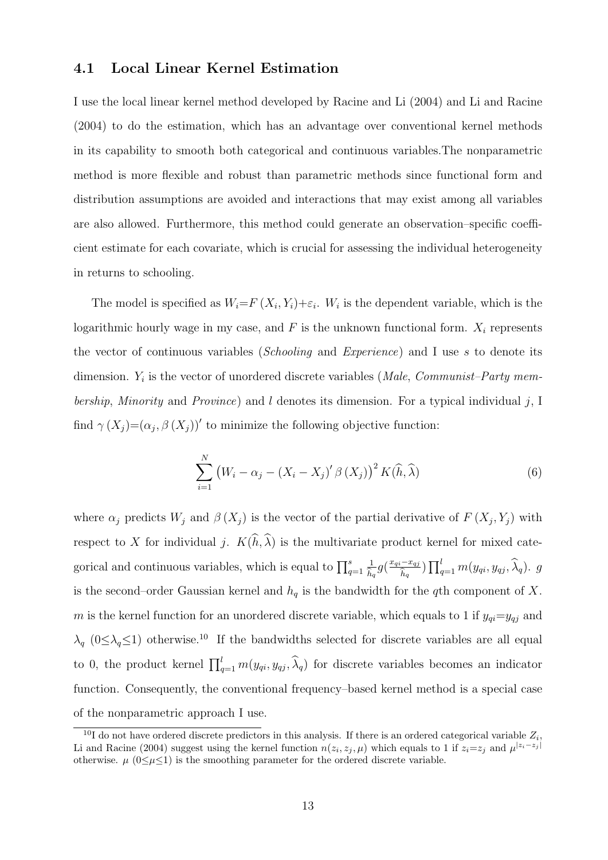## 4.1 Local Linear Kernel Estimation

I use the local linear kernel method developed by Racine and Li (2004) and Li and Racine (2004) to do the estimation, which has an advantage over conventional kernel methods in its capability to smooth both categorical and continuous variables.The nonparametric method is more flexible and robust than parametric methods since functional form and distribution assumptions are avoided and interactions that may exist among all variables are also allowed. Furthermore, this method could generate an observation–specific coefficient estimate for each covariate, which is crucial for assessing the individual heterogeneity in returns to schooling.

The model is specified as  $W_i = F(X_i, Y_i) + \varepsilon_i$ . W<sub>i</sub> is the dependent variable, which is the logarithmic hourly wage in my case, and  $F$  is the unknown functional form.  $X_i$  represents the vector of continuous variables (Schooling and Experience) and I use s to denote its dimension.  $Y_i$  is the vector of unordered discrete variables (*Male, Communist-Party mem*bership, Minority and Province) and  $l$  denotes its dimension. For a typical individual  $j$ , I find  $\gamma(X_j)=(\alpha_j,\beta(X_j))'$  to minimize the following objective function:

$$
\sum_{i=1}^{N} \left( W_i - \alpha_j - (X_i - X_j)' \beta(X_j) \right)^2 K(\widehat{h}, \widehat{\lambda}) \tag{6}
$$

where  $\alpha_j$  predicts  $W_j$  and  $\beta(X_j)$  is the vector of the partial derivative of  $F(X_j, Y_j)$  with respect to X for individual j.  $K(\widehat{h}, \widehat{\lambda})$  is the multivariate product kernel for mixed categorical and continuous variables, which is equal to  $\prod_{q=1}^{s}$ 1  $h_q$  $g\left(\frac{x_{qi}-x_{qj}}{\widehat{\iota}}\right)$  $h_q$  $\prod_{q=1}^{l} m(y_{qi}, y_{qj}, \widehat{\lambda}_q)$ . g is the second–order Gaussian kernel and  $h_q$  is the bandwidth for the qth component of X. m is the kernel function for an unordered discrete variable, which equals to 1 if  $y_{qi}=y_{qj}$  and  $\lambda_q$  (0≤ $\lambda_q$ ≤1) otherwise.<sup>10</sup> If the bandwidths selected for discrete variables are all equal to 0, the product kernel  $\prod_{q=1}^{l} m(y_{qi}, y_{qj}, \hat{\lambda}_q)$  for discrete variables becomes an indicator function. Consequently, the conventional frequency–based kernel method is a special case of the nonparametric approach I use.

<sup>&</sup>lt;sup>10</sup>I do not have ordered discrete predictors in this analysis. If there is an ordered categorical variable  $Z_i$ , Li and Racine (2004) suggest using the kernel function  $n(z_i, z_j, \mu)$  which equals to 1 if  $z_i = z_j$  and  $\mu^{|z_i - z_j|}$ otherwise.  $\mu$  (0 $\leq \mu \leq 1$ ) is the smoothing parameter for the ordered discrete variable.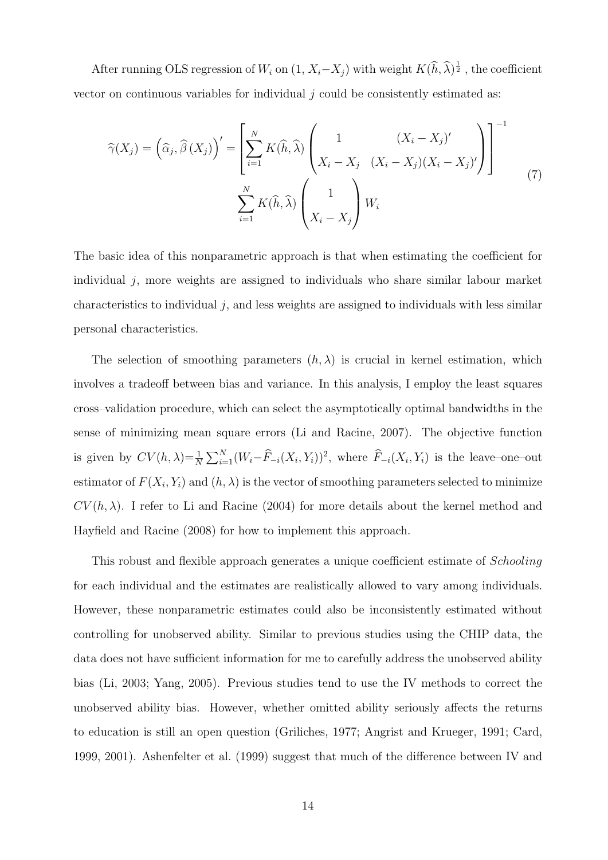After running OLS regression of  $W_i$  on  $(1, X_i - X_j)$  with weight  $K(\widehat{h}, \widehat{\lambda})^{\frac{1}{2}}$ , the coefficient vector on continuous variables for individual  $j$  could be consistently estimated as:

$$
\widehat{\gamma}(X_j) = \left(\widehat{\alpha}_j, \widehat{\beta}(X_j)\right)' = \left[\sum_{i=1}^N K(\widehat{h}, \widehat{\lambda}) \left(\begin{array}{cc} 1 & (X_i - X_j)' \\ X_i - X_j & (X_i - X_j)(X_i - X_j)' \end{array}\right) \right]^{-1}
$$
  

$$
\sum_{i=1}^N K(\widehat{h}, \widehat{\lambda}) \left(\begin{array}{c} 1 \\ X_i - X_j \end{array}\right) W_i
$$
(7)

The basic idea of this nonparametric approach is that when estimating the coefficient for individual  $j$ , more weights are assigned to individuals who share similar labour market characteristics to individual  $j$ , and less weights are assigned to individuals with less similar personal characteristics.

The selection of smoothing parameters  $(h, \lambda)$  is crucial in kernel estimation, which involves a tradeoff between bias and variance. In this analysis, I employ the least squares cross–validation procedure, which can select the asymptotically optimal bandwidths in the sense of minimizing mean square errors (Li and Racine, 2007). The objective function is given by  $CV(h, \lambda) = \frac{1}{N} \sum_{i=1}^{N} (W_i - \widehat{F}_{-i}(X_i, Y_i))^2$ , where  $\widehat{F}_{-i}(X_i, Y_i)$  is the leave-one-out estimator of  $F(X_i, Y_i)$  and  $(h, \lambda)$  is the vector of smoothing parameters selected to minimize  $CV(h, \lambda)$ . I refer to Li and Racine (2004) for more details about the kernel method and Hayfield and Racine (2008) for how to implement this approach.

This robust and flexible approach generates a unique coefficient estimate of Schooling for each individual and the estimates are realistically allowed to vary among individuals. However, these nonparametric estimates could also be inconsistently estimated without controlling for unobserved ability. Similar to previous studies using the CHIP data, the data does not have sufficient information for me to carefully address the unobserved ability bias (Li, 2003; Yang, 2005). Previous studies tend to use the IV methods to correct the unobserved ability bias. However, whether omitted ability seriously affects the returns to education is still an open question (Griliches, 1977; Angrist and Krueger, 1991; Card, 1999, 2001). Ashenfelter et al. (1999) suggest that much of the difference between IV and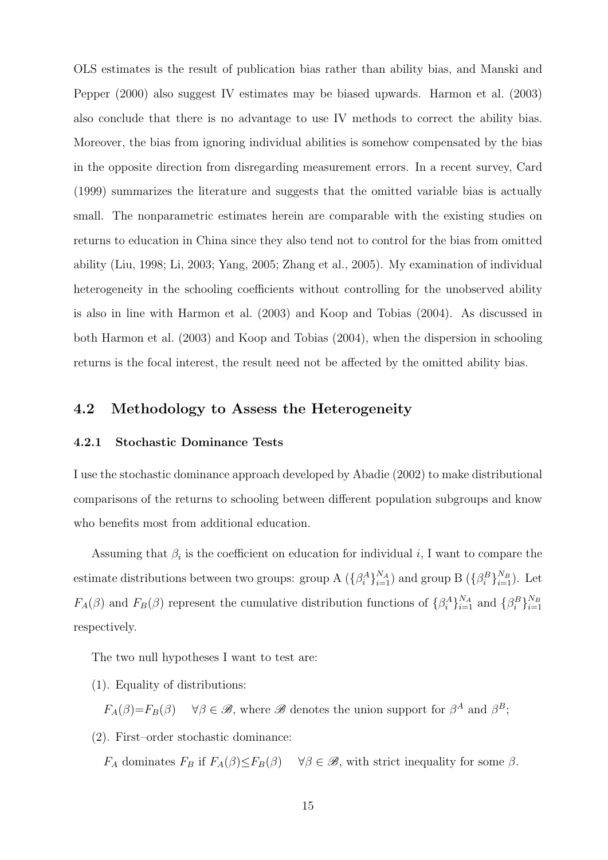OLS estimates is the result of publication bias rather than ability bias, and Manski and Pepper (2000) also suggest IV estimates may be biased upwards. Harmon et al. (2003) also conclude that there is no advantage to use IV methods to correct the ability bias. Moreover, the bias from ignoring individual abilities is somehow compensated by the bias in the opposite direction from disregarding measurement errors. In a recent survey, Card (1999) summarizes the literature and suggests that the omitted variable bias is actually small. The nonparametric estimates herein are comparable with the existing studies on returns to education in China since they also tend not to control for the bias from omitted ability (Liu, 1998; Li, 2003; Yang, 2005; Zhang et al., 2005). My examination of individual heterogeneity in the schooling coefficients without controlling for the unobserved ability is also in line with Harmon et al. (2003) and Koop and Tobias (2004). As discussed in both Harmon et al. (2003) and Koop and Tobias (2004), when the dispersion in schooling returns is the focal interest, the result need not be affected by the omitted ability bias.

## 4.2 Methodology to Assess the Heterogeneity

#### 4.2.1 Stochastic Dominance Tests

I use the stochastic dominance approach developed by Abadie (2002) to make distributional comparisons of the returns to schooling between different population subgroups and know who benefits most from additional education.

Assuming that  $\beta_i$  is the coefficient on education for individual i, I want to compare the estimate distributions between two groups: group A  $(\{\beta_i^A\}_{i=1}^{N_A})$  and group B  $(\{\beta_i^B\}_{i=1}^{N_B})$ . Let  $F_A(\beta)$  and  $F_B(\beta)$  represent the cumulative distribution functions of  $\{\beta_i^A\}_{i=1}^{N_A}$  and  $\{\beta_i^B\}_{i=1}^{N_B}$ respectively.

The two null hypotheses I want to test are:

(1). Equality of distributions:

 $F_A(\beta) = F_B(\beta)$   $\forall \beta \in \mathcal{B}$ , where  $\mathcal B$  denotes the union support for  $\beta^A$  and  $\beta^B$ ;

(2). First–order stochastic dominance:

 $F_A$  dominates  $F_B$  if  $F_A(\beta) \leq F_B(\beta)$   $\forall \beta \in \mathscr{B}$ , with strict inequality for some  $\beta$ .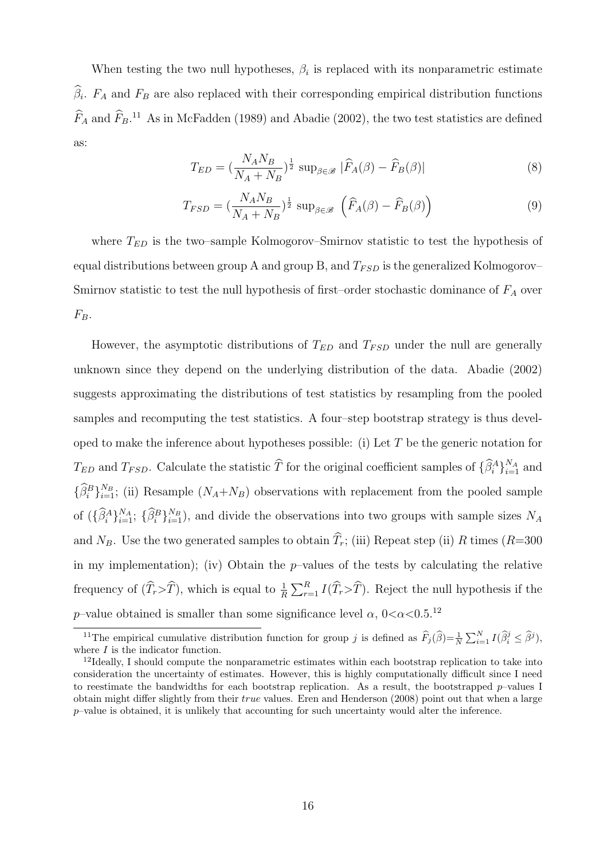When testing the two null hypotheses,  $\beta_i$  is replaced with its nonparametric estimate  $\beta_i$ .  $F_A$  and  $F_B$  are also replaced with their corresponding empirical distribution functions  $\hat{F}_A$  and  $\hat{F}_B$ .<sup>11</sup> As in McFadden (1989) and Abadie (2002), the two test statistics are defined as:

$$
T_{ED} = \left(\frac{N_A N_B}{N_A + N_B}\right)^{\frac{1}{2}} \sup_{\beta \in \mathcal{B}} |\widehat{F}_A(\beta) - \widehat{F}_B(\beta)| \tag{8}
$$

$$
T_{FSD} = \left(\frac{N_A N_B}{N_A + N_B}\right)^{\frac{1}{2}} \sup_{\beta \in \mathcal{B}} \left(\widehat{F}_A(\beta) - \widehat{F}_B(\beta)\right)
$$
(9)

where  $T_{ED}$  is the two–sample Kolmogorov–Smirnov statistic to test the hypothesis of equal distributions between group A and group B, and  $T_{FSD}$  is the generalized Kolmogorov– Smirnov statistic to test the null hypothesis of first–order stochastic dominance of  $F_A$  over  $F_B$ .

However, the asymptotic distributions of  $T_{ED}$  and  $T_{FSD}$  under the null are generally unknown since they depend on the underlying distribution of the data. Abadie (2002) suggests approximating the distributions of test statistics by resampling from the pooled samples and recomputing the test statistics. A four–step bootstrap strategy is thus developed to make the inference about hypotheses possible: (i) Let  $T$  be the generic notation for  $T_{ED}$  and  $T_{FSD}$ . Calculate the statistic  $\widehat{T}$  for the original coefficient samples of  $\{\widehat{\beta}_i^A\}_{i=1}^{N_A}$  and  $\{\widehat{\beta}_i^B\}_{i=1}^{N_B};$  (ii) Resample  $(N_A+N_B)$  observations with replacement from the pooled sample of  $(\{\widehat{\beta}_i^A\}_{i=1}^{N_A}; \{\widehat{\beta}_i^B\}_{i=1}^{N_B})$ , and divide the observations into two groups with sample sizes  $N_A$ and N<sub>B</sub>. Use the two generated samples to obtain  $\hat{T}_r$ ; (iii) Repeat step (ii) R times (R=300) in my implementation); (iv) Obtain the  $p$ -values of the tests by calculating the relative frequency of  $(\widehat{T}_r > \widehat{T})$ , which is equal to  $\frac{1}{R} \sum_{r=1}^R I(\widehat{T}_r > \widehat{T})$ . Reject the null hypothesis if the p–value obtained is smaller than some significance level  $\alpha$ ,  $0<\alpha<0.5$ .<sup>12</sup>

<sup>&</sup>lt;sup>11</sup>The empirical cumulative distribution function for group j is defined as  $\widehat{F}_j(\widehat{\beta}) = \frac{1}{N} \sum_{i=1}^N I(\widehat{\beta}_i^j \leq \widehat{\beta}^j)$ , where  $I$  is the indicator function.

<sup>&</sup>lt;sup>12</sup>Ideally. I should compute the nonparametric estimates within each bootstrap replication to take into consideration the uncertainty of estimates. However, this is highly computationally difficult since I need to reestimate the bandwidths for each bootstrap replication. As a result, the bootstrapped  $p$ –values I obtain might differ slightly from their true values. Eren and Henderson (2008) point out that when a large  $p$ –value is obtained, it is unlikely that accounting for such uncertainty would alter the inference.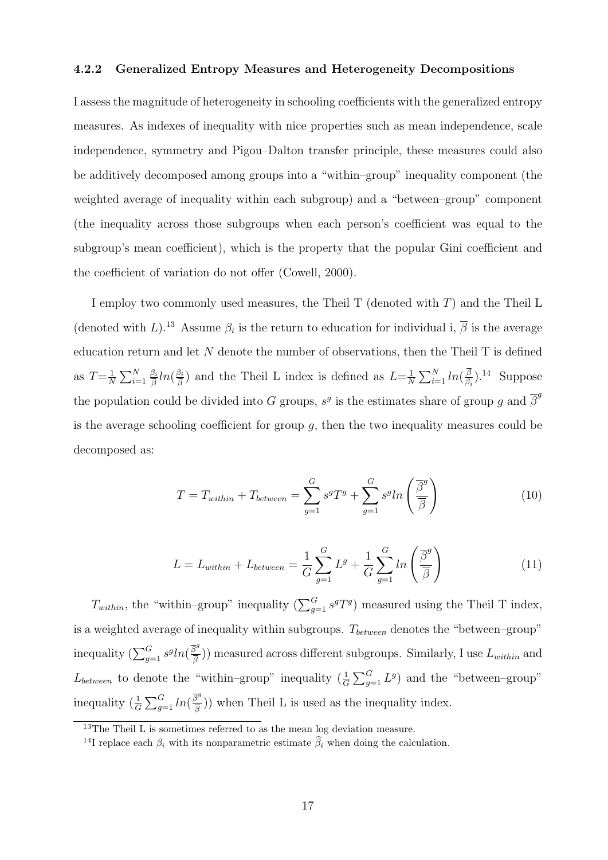#### 4.2.2 Generalized Entropy Measures and Heterogeneity Decompositions

I assess the magnitude of heterogeneity in schooling coefficients with the generalized entropy measures. As indexes of inequality with nice properties such as mean independence, scale independence, symmetry and Pigou–Dalton transfer principle, these measures could also be additively decomposed among groups into a "within–group" inequality component (the weighted average of inequality within each subgroup) and a "between–group" component (the inequality across those subgroups when each person's coefficient was equal to the subgroup's mean coefficient), which is the property that the popular Gini coefficient and the coefficient of variation do not offer (Cowell, 2000).

I employ two commonly used measures, the Theil T (denoted with T) and the Theil L (denoted with L).<sup>13</sup> Assume  $\beta_i$  is the return to education for individual i,  $\overline{\beta}$  is the average education return and let  $N$  denote the number of observations, then the Theil  $T$  is defined as  $T=\frac{1}{N}$  $\frac{1}{N} \sum_{i=1}^{N} \frac{\beta_i}{\overline{\beta}}$  $\frac{\beta_i}{\overline{\beta}} ln(\frac{\beta_i}{\overline{\beta}}$  $\frac{\beta_i}{\beta}$ ) and the Theil L index is defined as  $L=\frac{1}{N}$  $\frac{1}{N}\sum_{i=1}^{N}ln(\frac{\overline{\beta}}{\beta}% )^{2}$  $\frac{\beta}{\beta_i}$ ).<sup>14</sup> Suppose the population could be divided into G groups,  $s^g$  is the estimates share of group g and  $\overline{\beta}^g$ is the average schooling coefficient for group  $q$ , then the two inequality measures could be decomposed as:

$$
T = T_{within} + T_{between} = \sum_{g=1}^{G} s^g T^g + \sum_{g=1}^{G} s^g ln\left(\frac{\overline{\beta}^g}{\overline{\beta}}\right)
$$
(10)

$$
L = L_{within} + L_{between} = \frac{1}{G} \sum_{g=1}^{G} L^g + \frac{1}{G} \sum_{g=1}^{G} \ln\left(\frac{\overline{\beta}^g}{\overline{\beta}}\right)
$$
(11)

 $T_{within}$ , the "within-group" inequality  $(\sum_{g=1}^{G} s^g T^g)$  measured using the Theil T index, is a weighted average of inequality within subgroups.  $T_{between}$  denotes the "between-group" inequality  $(\sum_{g=1}^{G} s^g ln(\frac{\overline{\beta}^g}{\overline{\beta}}))$  $(\frac{3^2}{\beta})$ ) measured across different subgroups. Similarly, I use  $L_{within}$  and  $L_{between}$  to denote the "within-group" inequality  $(\frac{1}{G}\sum_{g=1}^{G}L^g)$  and the "between-group" inequality  $\left(\frac{1}{G}\sum_{g=1}^G ln\left(\frac{\overline{\beta}^g}{\overline{\beta}}\right)\right)$  $(\frac{\partial^2}{\partial \beta})$ ) when Theil L is used as the inequality index.

<sup>&</sup>lt;sup>13</sup>The Theil L is sometimes referred to as the mean log deviation measure.

<sup>&</sup>lt;sup>14</sup>I replace each  $\beta_i$  with its nonparametric estimate  $\widehat{\beta}_i$  when doing the calculation.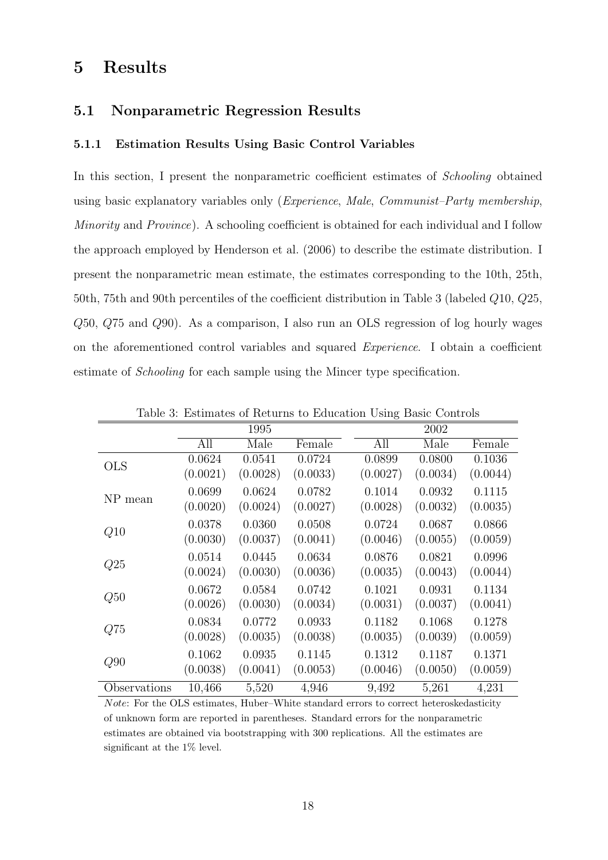## 5 Results

#### 5.1 Nonparametric Regression Results

#### 5.1.1 Estimation Results Using Basic Control Variables

In this section, I present the nonparametric coefficient estimates of *Schooling* obtained using basic explanatory variables only (Experience, Male, Communist–Party membership, Minority and Province). A schooling coefficient is obtained for each individual and I follow the approach employed by Henderson et al. (2006) to describe the estimate distribution. I present the nonparametric mean estimate, the estimates corresponding to the 10th, 25th, 50th, 75th and 90th percentiles of the coefficient distribution in Table 3 (labeled Q10, Q25, Q50, Q75 and Q90). As a comparison, I also run an OLS regression of log hourly wages on the aforementioned control variables and squared Experience. I obtain a coefficient estimate of Schooling for each sample using the Mincer type specification.

|              | 1995     |          |          |          | 2002 |          |          |  |
|--------------|----------|----------|----------|----------|------|----------|----------|--|
|              | All      | Male     | Female   | All      |      | Male     | Female   |  |
| <b>OLS</b>   | 0.0624   | 0.0541   | 0.0724   | 0.0899   |      | 0.0800   | 0.1036   |  |
|              | (0.0021) | (0.0028) | (0.0033) | (0.0027) |      | (0.0034) | (0.0044) |  |
|              | 0.0699   | 0.0624   | 0.0782   | 0.1014   |      | 0.0932   | 0.1115   |  |
| NP mean      | (0.0020) | (0.0024) | (0.0027) | (0.0028) |      | (0.0032) | (0.0035) |  |
|              | 0.0378   | 0.0360   | 0.0508   | 0.0724   |      | 0.0687   | 0.0866   |  |
| Q10          | (0.0030) | (0.0037) | (0.0041) | (0.0046) |      | (0.0055) | (0.0059) |  |
|              | 0.0514   | 0.0445   | 0.0634   | 0.0876   |      | 0.0821   | 0.0996   |  |
| Q25          | (0.0024) | (0.0030) | (0.0036) | (0.0035) |      | (0.0043) | (0.0044) |  |
|              | 0.0672   | 0.0584   | 0.0742   | 0.1021   |      | 0.0931   | 0.1134   |  |
| Q50          | (0.0026) | (0.0030) | (0.0034) | (0.0031) |      | (0.0037) | (0.0041) |  |
|              | 0.0834   | 0.0772   | 0.0933   | 0.1182   |      | 0.1068   | 0.1278   |  |
| Q75          | (0.0028) | (0.0035) | (0.0038) | (0.0035) |      | (0.0039) | (0.0059) |  |
| Q90          | 0.1062   | 0.0935   | 0.1145   | 0.1312   |      | 0.1187   | 0.1371   |  |
|              | (0.0038) | (0.0041) | (0.0053) | (0.0046) |      | (0.0050) | (0.0059) |  |
| Observations | 10,466   | 5,520    | 4,946    | 9,492    |      | 5,261    | 4,231    |  |

Table 3: Estimates of Returns to Education Using Basic Controls

Note: For the OLS estimates, Huber–White standard errors to correct heteroskedasticity of unknown form are reported in parentheses. Standard errors for the nonparametric estimates are obtained via bootstrapping with 300 replications. All the estimates are significant at the 1% level.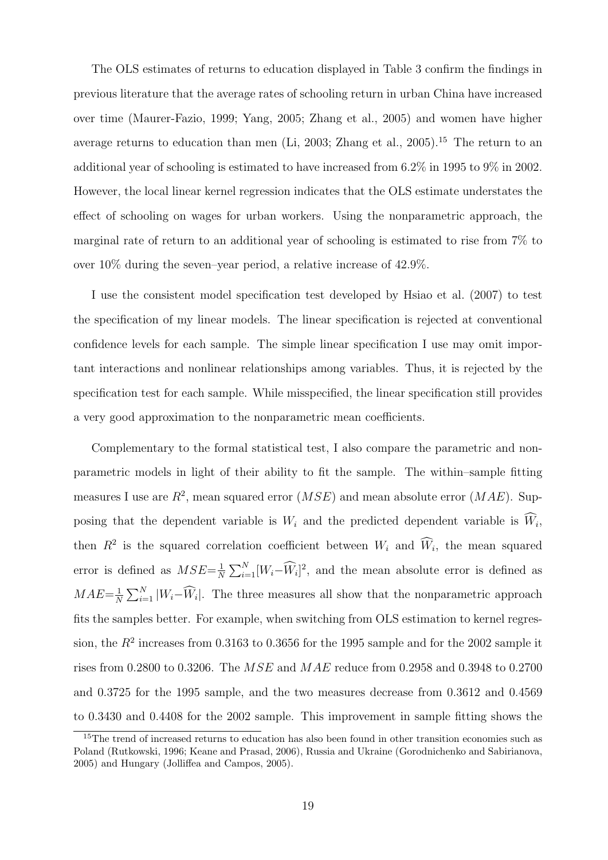The OLS estimates of returns to education displayed in Table 3 confirm the findings in previous literature that the average rates of schooling return in urban China have increased over time (Maurer-Fazio, 1999; Yang, 2005; Zhang et al., 2005) and women have higher average returns to education than men (Li, 2003; Zhang et al., 2005).<sup>15</sup> The return to an additional year of schooling is estimated to have increased from 6.2% in 1995 to 9% in 2002. However, the local linear kernel regression indicates that the OLS estimate understates the effect of schooling on wages for urban workers. Using the nonparametric approach, the marginal rate of return to an additional year of schooling is estimated to rise from 7% to over 10% during the seven–year period, a relative increase of 42.9%.

I use the consistent model specification test developed by Hsiao et al. (2007) to test the specification of my linear models. The linear specification is rejected at conventional confidence levels for each sample. The simple linear specification I use may omit important interactions and nonlinear relationships among variables. Thus, it is rejected by the specification test for each sample. While misspecified, the linear specification still provides a very good approximation to the nonparametric mean coefficients.

Complementary to the formal statistical test, I also compare the parametric and nonparametric models in light of their ability to fit the sample. The within–sample fitting measures I use are  $R^2$ , mean squared error  $(MSE)$  and mean absolute error  $(MAE)$ . Supposing that the dependent variable is  $W_i$  and the predicted dependent variable is  $W_i$ , then  $R^2$  is the squared correlation coefficient between  $W_i$  and  $\tilde{W}_i$ , the mean squared error is defined as  $MSE = \frac{1}{N}$  $\frac{1}{N} \sum_{i=1}^{N} [W_i - \widehat{W}_i]^2$ , and the mean absolute error is defined as  $MAE = \frac{1}{N}$  $\frac{1}{N} \sum_{i=1}^{N} |W_i - \widehat{W}_i|$ . The three measures all show that the nonparametric approach fits the samples better. For example, when switching from OLS estimation to kernel regression, the  $R^2$  increases from 0.3163 to 0.3656 for the 1995 sample and for the 2002 sample it rises from 0.2800 to 0.3206. The MSE and MAE reduce from 0.2958 and 0.3948 to 0.2700 and 0.3725 for the 1995 sample, and the two measures decrease from 0.3612 and 0.4569 to 0.3430 and 0.4408 for the 2002 sample. This improvement in sample fitting shows the

<sup>&</sup>lt;sup>15</sup>The trend of increased returns to education has also been found in other transition economies such as Poland (Rutkowski, 1996; Keane and Prasad, 2006), Russia and Ukraine (Gorodnichenko and Sabirianova, 2005) and Hungary (Jolliffea and Campos, 2005).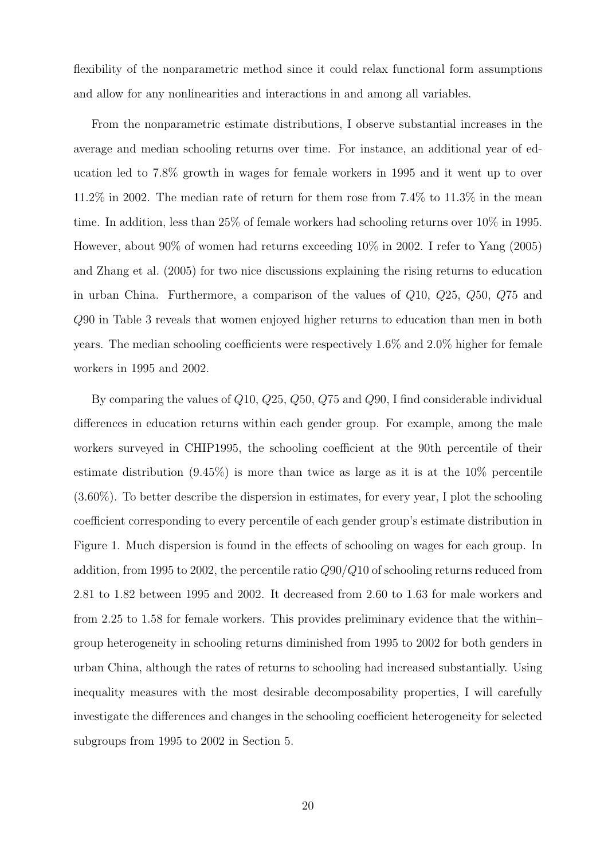flexibility of the nonparametric method since it could relax functional form assumptions and allow for any nonlinearities and interactions in and among all variables.

From the nonparametric estimate distributions, I observe substantial increases in the average and median schooling returns over time. For instance, an additional year of education led to 7.8% growth in wages for female workers in 1995 and it went up to over 11.2% in 2002. The median rate of return for them rose from 7.4% to 11.3% in the mean time. In addition, less than 25% of female workers had schooling returns over 10% in 1995. However, about 90% of women had returns exceeding 10% in 2002. I refer to Yang (2005) and Zhang et al. (2005) for two nice discussions explaining the rising returns to education in urban China. Furthermore, a comparison of the values of Q10, Q25, Q50, Q75 and Q90 in Table 3 reveals that women enjoyed higher returns to education than men in both years. The median schooling coefficients were respectively 1.6% and 2.0% higher for female workers in 1995 and 2002.

By comparing the values of Q10, Q25, Q50, Q75 and Q90, I find considerable individual differences in education returns within each gender group. For example, among the male workers surveyed in CHIP1995, the schooling coefficient at the 90th percentile of their estimate distribution  $(9.45\%)$  is more than twice as large as it is at the 10% percentile (3.60%). To better describe the dispersion in estimates, for every year, I plot the schooling coefficient corresponding to every percentile of each gender group's estimate distribution in Figure 1. Much dispersion is found in the effects of schooling on wages for each group. In addition, from 1995 to 2002, the percentile ratio  $Q90/Q10$  of schooling returns reduced from 2.81 to 1.82 between 1995 and 2002. It decreased from 2.60 to 1.63 for male workers and from 2.25 to 1.58 for female workers. This provides preliminary evidence that the within– group heterogeneity in schooling returns diminished from 1995 to 2002 for both genders in urban China, although the rates of returns to schooling had increased substantially. Using inequality measures with the most desirable decomposability properties, I will carefully investigate the differences and changes in the schooling coefficient heterogeneity for selected subgroups from 1995 to 2002 in Section 5.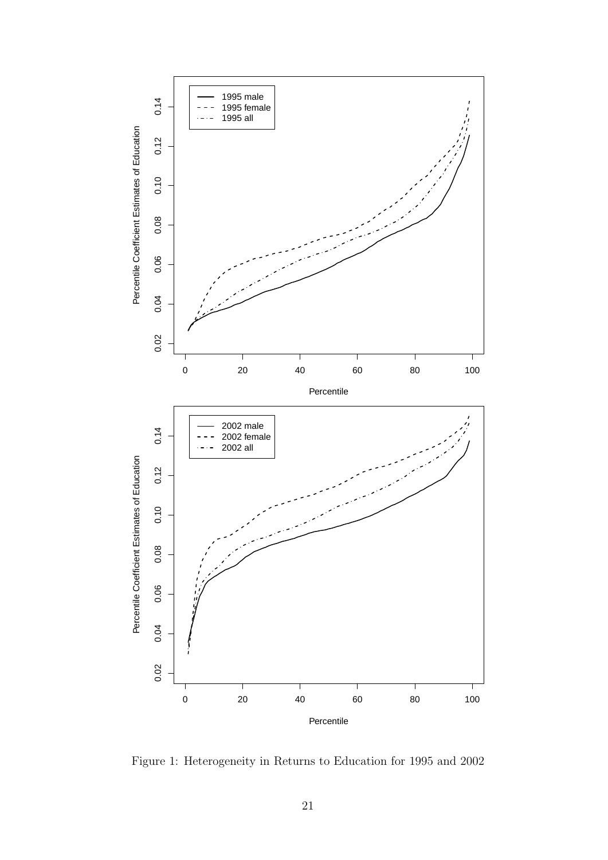

Figure 1: Heterogeneity in Returns to Education for 1995 and 2002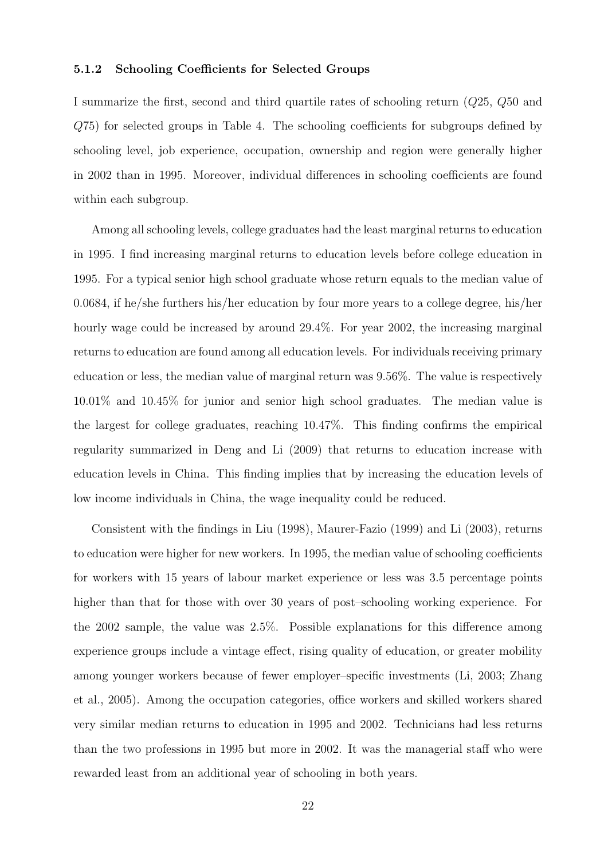#### 5.1.2 Schooling Coefficients for Selected Groups

I summarize the first, second and third quartile rates of schooling return (Q25, Q50 and Q75) for selected groups in Table 4. The schooling coefficients for subgroups defined by schooling level, job experience, occupation, ownership and region were generally higher in 2002 than in 1995. Moreover, individual differences in schooling coefficients are found within each subgroup.

Among all schooling levels, college graduates had the least marginal returns to education in 1995. I find increasing marginal returns to education levels before college education in 1995. For a typical senior high school graduate whose return equals to the median value of 0.0684, if he/she furthers his/her education by four more years to a college degree, his/her hourly wage could be increased by around 29.4%. For year 2002, the increasing marginal returns to education are found among all education levels. For individuals receiving primary education or less, the median value of marginal return was 9.56%. The value is respectively 10.01% and 10.45% for junior and senior high school graduates. The median value is the largest for college graduates, reaching 10.47%. This finding confirms the empirical regularity summarized in Deng and Li (2009) that returns to education increase with education levels in China. This finding implies that by increasing the education levels of low income individuals in China, the wage inequality could be reduced.

Consistent with the findings in Liu (1998), Maurer-Fazio (1999) and Li (2003), returns to education were higher for new workers. In 1995, the median value of schooling coefficients for workers with 15 years of labour market experience or less was 3.5 percentage points higher than that for those with over 30 years of post–schooling working experience. For the 2002 sample, the value was 2.5%. Possible explanations for this difference among experience groups include a vintage effect, rising quality of education, or greater mobility among younger workers because of fewer employer–specific investments (Li, 2003; Zhang et al., 2005). Among the occupation categories, office workers and skilled workers shared very similar median returns to education in 1995 and 2002. Technicians had less returns than the two professions in 1995 but more in 2002. It was the managerial staff who were rewarded least from an additional year of schooling in both years.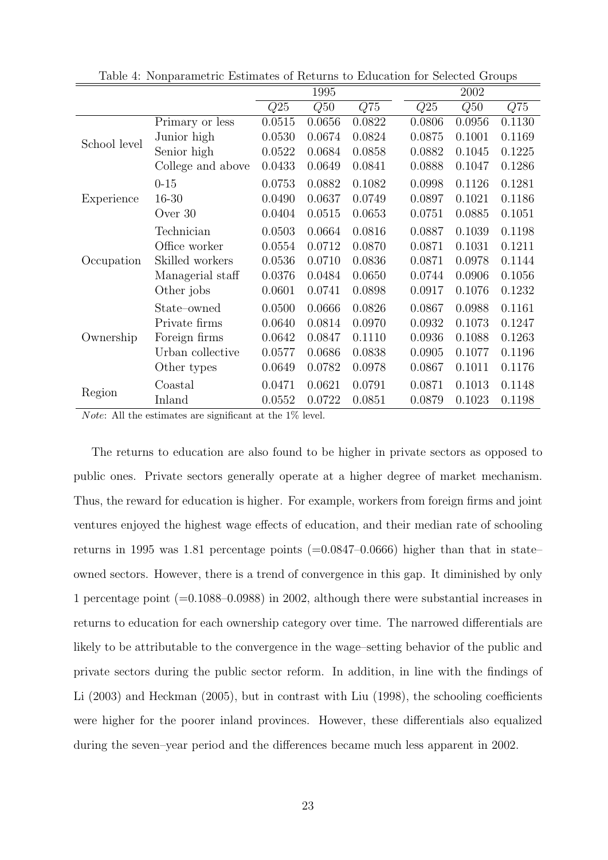|              |                   | 1995   |        |        | 2002   |        |        |
|--------------|-------------------|--------|--------|--------|--------|--------|--------|
|              |                   | Q25    | Q50    | Q75    | Q25    | Q50    | Q75    |
|              | Primary or less   | 0.0515 | 0.0656 | 0.0822 | 0.0806 | 0.0956 | 0.1130 |
| School level | Junior high       | 0.0530 | 0.0674 | 0.0824 | 0.0875 | 0.1001 | 0.1169 |
|              | Senior high       | 0.0522 | 0.0684 | 0.0858 | 0.0882 | 0.1045 | 0.1225 |
|              | College and above | 0.0433 | 0.0649 | 0.0841 | 0.0888 | 0.1047 | 0.1286 |
|              | $0 - 15$          | 0.0753 | 0.0882 | 0.1082 | 0.0998 | 0.1126 | 0.1281 |
| Experience   | $16 - 30$         | 0.0490 | 0.0637 | 0.0749 | 0.0897 | 0.1021 | 0.1186 |
|              | Over 30           | 0.0404 | 0.0515 | 0.0653 | 0.0751 | 0.0885 | 0.1051 |
|              | Technician        | 0.0503 | 0.0664 | 0.0816 | 0.0887 | 0.1039 | 0.1198 |
|              | Office worker     | 0.0554 | 0.0712 | 0.0870 | 0.0871 | 0.1031 | 0.1211 |
| Occupation   | Skilled workers   | 0.0536 | 0.0710 | 0.0836 | 0.0871 | 0.0978 | 0.1144 |
|              | Managerial staff  | 0.0376 | 0.0484 | 0.0650 | 0.0744 | 0.0906 | 0.1056 |
|              | Other jobs        | 0.0601 | 0.0741 | 0.0898 | 0.0917 | 0.1076 | 0.1232 |
|              | State-owned       | 0.0500 | 0.0666 | 0.0826 | 0.0867 | 0.0988 | 0.1161 |
|              | Private firms     | 0.0640 | 0.0814 | 0.0970 | 0.0932 | 0.1073 | 0.1247 |
| Ownership    | Foreign firms     | 0.0642 | 0.0847 | 0.1110 | 0.0936 | 0.1088 | 0.1263 |
|              | Urban collective  | 0.0577 | 0.0686 | 0.0838 | 0.0905 | 0.1077 | 0.1196 |
|              | Other types       | 0.0649 | 0.0782 | 0.0978 | 0.0867 | 0.1011 | 0.1176 |
|              | Coastal           | 0.0471 | 0.0621 | 0.0791 | 0.0871 | 0.1013 | 0.1148 |
| Region       | Inland            | 0.0552 | 0.0722 | 0.0851 | 0.0879 | 0.1023 | 0.1198 |

Table 4: Nonparametric Estimates of Returns to Education for Selected Groups

Note: All the estimates are significant at the 1% level.

The returns to education are also found to be higher in private sectors as opposed to public ones. Private sectors generally operate at a higher degree of market mechanism. Thus, the reward for education is higher. For example, workers from foreign firms and joint ventures enjoyed the highest wage effects of education, and their median rate of schooling returns in 1995 was 1.81 percentage points  $(=0.0847-0.0666)$  higher than that in state– owned sectors. However, there is a trend of convergence in this gap. It diminished by only 1 percentage point (=0.1088–0.0988) in 2002, although there were substantial increases in returns to education for each ownership category over time. The narrowed differentials are likely to be attributable to the convergence in the wage–setting behavior of the public and private sectors during the public sector reform. In addition, in line with the findings of Li (2003) and Heckman (2005), but in contrast with Liu (1998), the schooling coefficients were higher for the poorer inland provinces. However, these differentials also equalized during the seven–year period and the differences became much less apparent in 2002.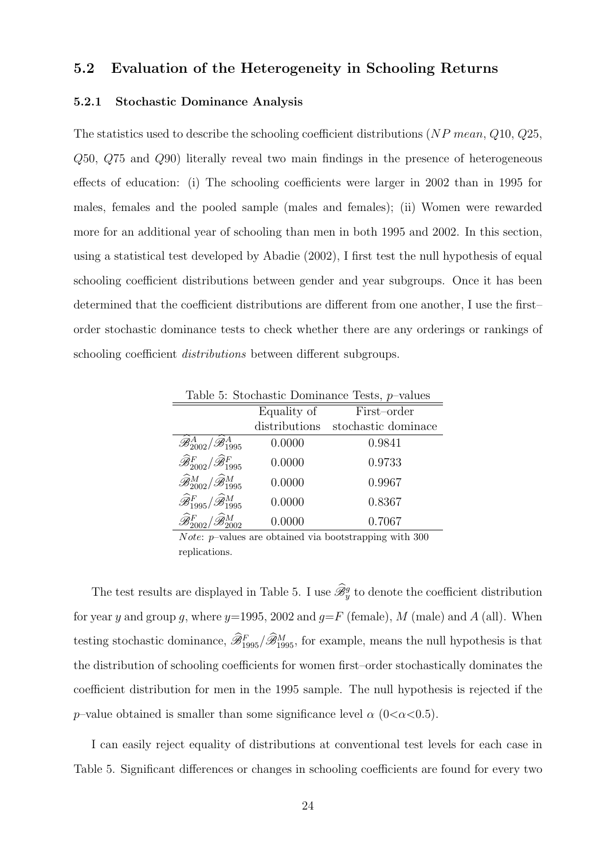### 5.2 Evaluation of the Heterogeneity in Schooling Returns

#### 5.2.1 Stochastic Dominance Analysis

The statistics used to describe the schooling coefficient distributions (NP mean, Q10, Q25, Q50, Q75 and Q90) literally reveal two main findings in the presence of heterogeneous effects of education: (i) The schooling coefficients were larger in 2002 than in 1995 for males, females and the pooled sample (males and females); (ii) Women were rewarded more for an additional year of schooling than men in both 1995 and 2002. In this section, using a statistical test developed by Abadie (2002), I first test the null hypothesis of equal schooling coefficient distributions between gender and year subgroups. Once it has been determined that the coefficient distributions are different from one another, I use the first– order stochastic dominance tests to check whether there are any orderings or rankings of schooling coefficient *distributions* between different subgroups.

|                                                                     |               | Table 5: Stochastic Dominance Tests, $p$ -values |
|---------------------------------------------------------------------|---------------|--------------------------------------------------|
|                                                                     | Equality of   | First-order                                      |
|                                                                     | distributions | stochastic dominace                              |
| $\widehat{\mathscr{B}}^A_{2002}/\widehat{\mathscr{B}}^A_{1995}$     | 0.0000        | 0.9841                                           |
| $\widehat{\mathscr{B}}^F_{2002}/\widehat{\mathscr{B}}^F_{1995}$     | 0.0000        | 0.9733                                           |
| $\widehat{\mathcal{B}}_{2002}^{M}/\widehat{\mathcal{B}}_{1995}^{M}$ | 0.0000        | 0.9967                                           |
| $\widehat{\mathscr{B}}_{1995}^{F}/\widehat{\mathscr{B}}_{1995}^{M}$ | 0.0000        | 0.8367                                           |
|                                                                     | 0.0000        | 0.7067                                           |
|                                                                     |               |                                                  |

Table 5: Stochastic Dominance Test

Note: p–values are obtained via bootstrapping with 300 replications.

The test results are displayed in Table 5. I use  $\mathcal{B}_y^g$  to denote the coefficient distribution for year y and group q, where  $y=1995$ , 2002 and  $q=F$  (female), M (male) and A (all). When testing stochastic dominance,  $\mathscr{B}_{1995}^F/\mathscr{B}_{1995}^M$ , for example, means the null hypothesis is that the distribution of schooling coefficients for women first–order stochastically dominates the coefficient distribution for men in the 1995 sample. The null hypothesis is rejected if the p–value obtained is smaller than some significance level  $\alpha$  (0< $\alpha$ <0.5).

I can easily reject equality of distributions at conventional test levels for each case in Table 5. Significant differences or changes in schooling coefficients are found for every two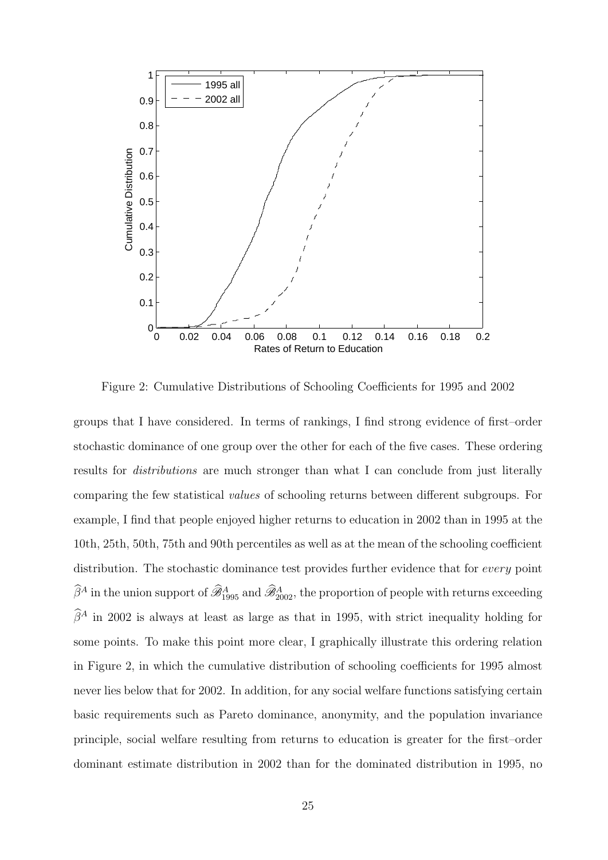

Figure 2: Cumulative Distributions of Schooling Coefficients for 1995 and 2002

groups that I have considered. In terms of rankings, I find strong evidence of first–order stochastic dominance of one group over the other for each of the five cases. These ordering results for *distributions* are much stronger than what I can conclude from just literally comparing the few statistical values of schooling returns between different subgroups. For example, I find that people enjoyed higher returns to education in 2002 than in 1995 at the 10th, 25th, 50th, 75th and 90th percentiles as well as at the mean of the schooling coefficient distribution. The stochastic dominance test provides further evidence that for every point  $\widehat{\beta}^A$  in the union support of  $\widehat{\mathscr{B}}^A_{1995}$  and  $\widehat{\mathscr{B}}^A_{2002}$ , the proportion of people with returns exceeding  $\widehat{\beta}^A$  in 2002 is always at least as large as that in 1995, with strict inequality holding for some points. To make this point more clear, I graphically illustrate this ordering relation in Figure 2, in which the cumulative distribution of schooling coefficients for 1995 almost never lies below that for 2002. In addition, for any social welfare functions satisfying certain basic requirements such as Pareto dominance, anonymity, and the population invariance principle, social welfare resulting from returns to education is greater for the first–order dominant estimate distribution in 2002 than for the dominated distribution in 1995, no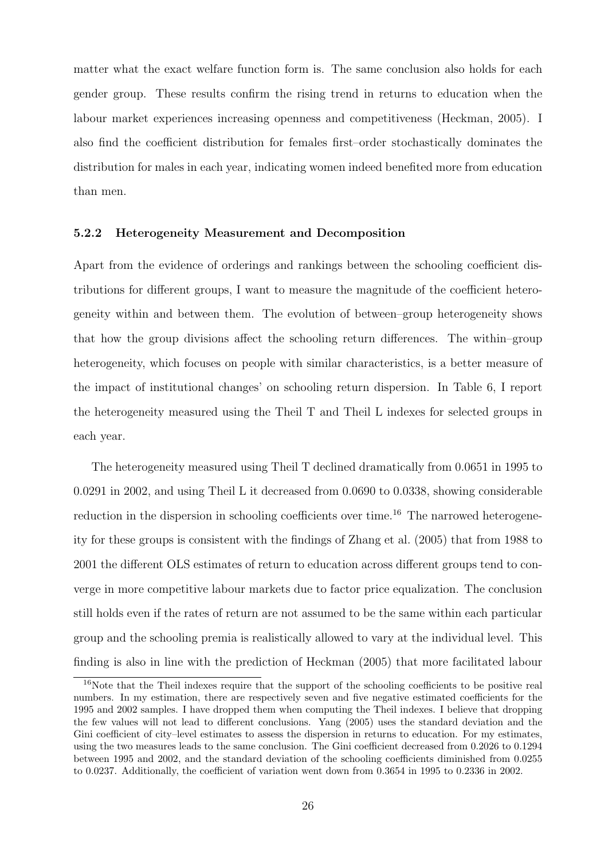matter what the exact welfare function form is. The same conclusion also holds for each gender group. These results confirm the rising trend in returns to education when the labour market experiences increasing openness and competitiveness (Heckman, 2005). I also find the coefficient distribution for females first–order stochastically dominates the distribution for males in each year, indicating women indeed benefited more from education than men.

#### 5.2.2 Heterogeneity Measurement and Decomposition

Apart from the evidence of orderings and rankings between the schooling coefficient distributions for different groups, I want to measure the magnitude of the coefficient heterogeneity within and between them. The evolution of between–group heterogeneity shows that how the group divisions affect the schooling return differences. The within–group heterogeneity, which focuses on people with similar characteristics, is a better measure of the impact of institutional changes' on schooling return dispersion. In Table 6, I report the heterogeneity measured using the Theil T and Theil L indexes for selected groups in each year.

The heterogeneity measured using Theil T declined dramatically from 0.0651 in 1995 to 0.0291 in 2002, and using Theil L it decreased from 0.0690 to 0.0338, showing considerable reduction in the dispersion in schooling coefficients over time.<sup>16</sup> The narrowed heterogeneity for these groups is consistent with the findings of Zhang et al. (2005) that from 1988 to 2001 the different OLS estimates of return to education across different groups tend to converge in more competitive labour markets due to factor price equalization. The conclusion still holds even if the rates of return are not assumed to be the same within each particular group and the schooling premia is realistically allowed to vary at the individual level. This finding is also in line with the prediction of Heckman (2005) that more facilitated labour

<sup>&</sup>lt;sup>16</sup>Note that the Theil indexes require that the support of the schooling coefficients to be positive real numbers. In my estimation, there are respectively seven and five negative estimated coefficients for the 1995 and 2002 samples. I have dropped them when computing the Theil indexes. I believe that dropping the few values will not lead to different conclusions. Yang (2005) uses the standard deviation and the Gini coefficient of city–level estimates to assess the dispersion in returns to education. For my estimates, using the two measures leads to the same conclusion. The Gini coefficient decreased from 0.2026 to 0.1294 between 1995 and 2002, and the standard deviation of the schooling coefficients diminished from 0.0255 to 0.0237. Additionally, the coefficient of variation went down from 0.3654 in 1995 to 0.2336 in 2002.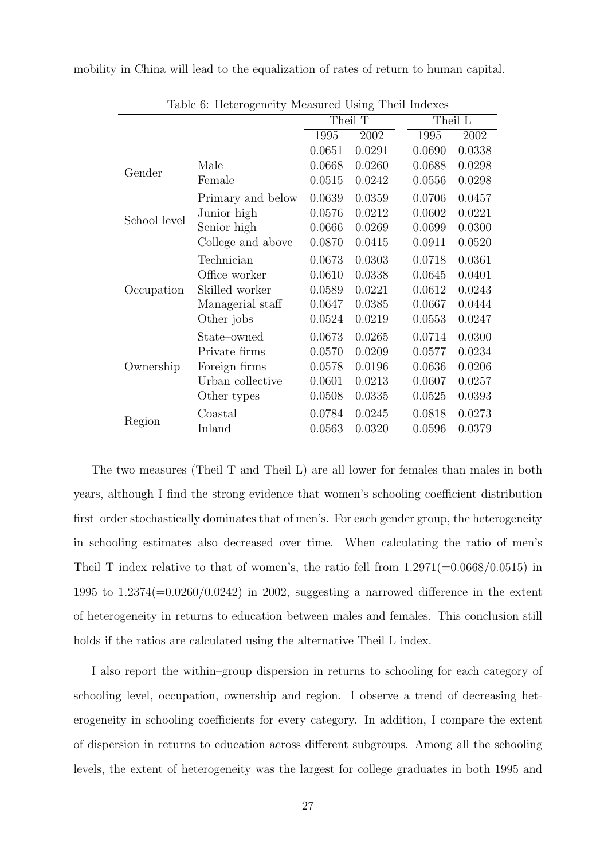| $\frac{1}{2}$ | Theil T           |        | Theil L |        |        |
|---------------|-------------------|--------|---------|--------|--------|
|               |                   | 1995   | 2002    | 1995   | 2002   |
|               |                   | 0.0651 | 0.0291  | 0.0690 | 0.0338 |
| Gender        | Male              | 0.0668 | 0.0260  | 0.0688 | 0.0298 |
|               | Female            | 0.0515 | 0.0242  | 0.0556 | 0.0298 |
|               | Primary and below | 0.0639 | 0.0359  | 0.0706 | 0.0457 |
| School level  | Junior high       | 0.0576 | 0.0212  | 0.0602 | 0.0221 |
|               | Senior high       | 0.0666 | 0.0269  | 0.0699 | 0.0300 |
|               | College and above | 0.0870 | 0.0415  | 0.0911 | 0.0520 |
|               | Technician        | 0.0673 | 0.0303  | 0.0718 | 0.0361 |
|               | Office worker     | 0.0610 | 0.0338  | 0.0645 | 0.0401 |
| Occupation    | Skilled worker    | 0.0589 | 0.0221  | 0.0612 | 0.0243 |
|               | Managerial staff  | 0.0647 | 0.0385  | 0.0667 | 0.0444 |
|               | Other jobs        | 0.0524 | 0.0219  | 0.0553 | 0.0247 |
|               | State-owned       | 0.0673 | 0.0265  | 0.0714 | 0.0300 |
|               | Private firms     | 0.0570 | 0.0209  | 0.0577 | 0.0234 |
| Ownership     | Foreign firms     | 0.0578 | 0.0196  | 0.0636 | 0.0206 |
|               | Urban collective  | 0.0601 | 0.0213  | 0.0607 | 0.0257 |
|               | Other types       | 0.0508 | 0.0335  | 0.0525 | 0.0393 |
|               | Coastal           | 0.0784 | 0.0245  | 0.0818 | 0.0273 |
| Region        | Inland            | 0.0563 | 0.0320  | 0.0596 | 0.0379 |

mobility in China will lead to the equalization of rates of return to human capital.

Table 6: Heterogeneity Measured Using Theil Indexes

The two measures (Theil T and Theil L) are all lower for females than males in both years, although I find the strong evidence that women's schooling coefficient distribution first–order stochastically dominates that of men's. For each gender group, the heterogeneity in schooling estimates also decreased over time. When calculating the ratio of men's Theil T index relative to that of women's, the ratio fell from  $1.2971(=0.0668/0.0515)$  in 1995 to  $1.2374(=0.0260/0.0242)$  in 2002, suggesting a narrowed difference in the extent of heterogeneity in returns to education between males and females. This conclusion still holds if the ratios are calculated using the alternative Theil L index.

I also report the within–group dispersion in returns to schooling for each category of schooling level, occupation, ownership and region. I observe a trend of decreasing heterogeneity in schooling coefficients for every category. In addition, I compare the extent of dispersion in returns to education across different subgroups. Among all the schooling levels, the extent of heterogeneity was the largest for college graduates in both 1995 and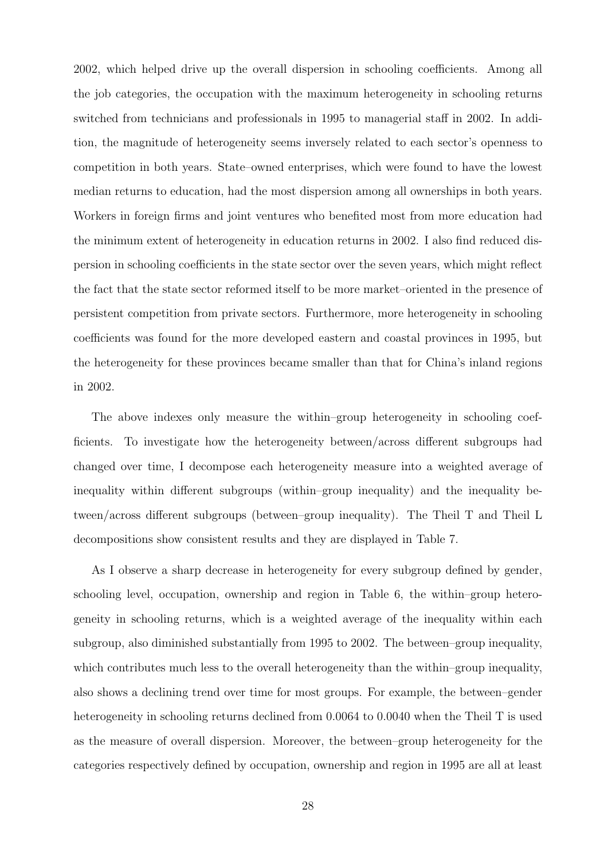2002, which helped drive up the overall dispersion in schooling coefficients. Among all the job categories, the occupation with the maximum heterogeneity in schooling returns switched from technicians and professionals in 1995 to managerial staff in 2002. In addition, the magnitude of heterogeneity seems inversely related to each sector's openness to competition in both years. State–owned enterprises, which were found to have the lowest median returns to education, had the most dispersion among all ownerships in both years. Workers in foreign firms and joint ventures who benefited most from more education had the minimum extent of heterogeneity in education returns in 2002. I also find reduced dispersion in schooling coefficients in the state sector over the seven years, which might reflect the fact that the state sector reformed itself to be more market–oriented in the presence of persistent competition from private sectors. Furthermore, more heterogeneity in schooling coefficients was found for the more developed eastern and coastal provinces in 1995, but the heterogeneity for these provinces became smaller than that for China's inland regions in 2002.

The above indexes only measure the within–group heterogeneity in schooling coefficients. To investigate how the heterogeneity between/across different subgroups had changed over time, I decompose each heterogeneity measure into a weighted average of inequality within different subgroups (within–group inequality) and the inequality between/across different subgroups (between–group inequality). The Theil T and Theil L decompositions show consistent results and they are displayed in Table 7.

As I observe a sharp decrease in heterogeneity for every subgroup defined by gender, schooling level, occupation, ownership and region in Table 6, the within–group heterogeneity in schooling returns, which is a weighted average of the inequality within each subgroup, also diminished substantially from 1995 to 2002. The between–group inequality, which contributes much less to the overall heterogeneity than the within–group inequality, also shows a declining trend over time for most groups. For example, the between–gender heterogeneity in schooling returns declined from 0.0064 to 0.0040 when the Theil T is used as the measure of overall dispersion. Moreover, the between–group heterogeneity for the categories respectively defined by occupation, ownership and region in 1995 are all at least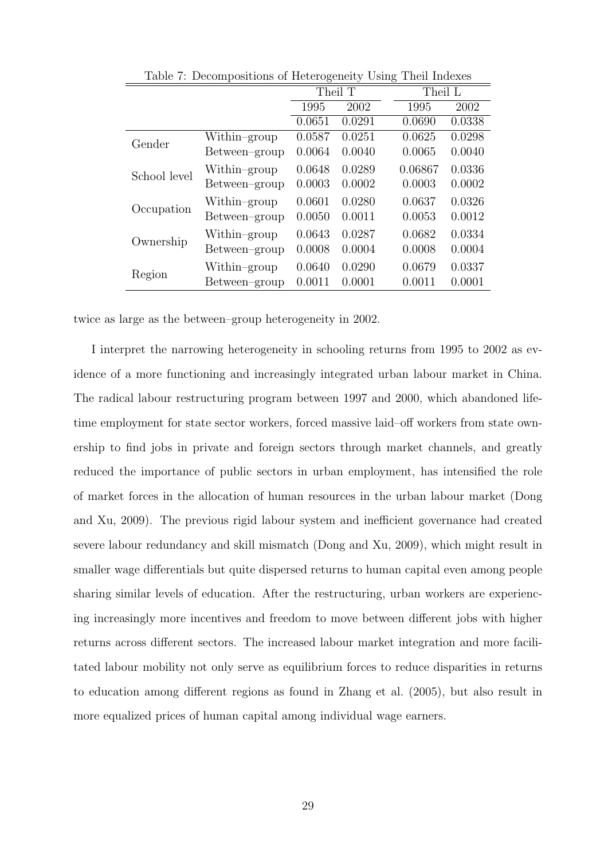|              |               | Theil T |        | Theil L |        |
|--------------|---------------|---------|--------|---------|--------|
|              |               | 1995    | 2002   | 1995    | 2002   |
|              |               | 0.0651  | 0.0291 | 0.0690  | 0.0338 |
| Gender       | Within-group  | 0.0587  | 0.0251 | 0.0625  | 0.0298 |
|              | Between-group | 0.0064  | 0.0040 | 0.0065  | 0.0040 |
| School level | Within-group  | 0.0648  | 0.0289 | 0.06867 | 0.0336 |
|              | Between-group | 0.0003  | 0.0002 | 0.0003  | 0.0002 |
| Occupation   | Within-group  | 0.0601  | 0.0280 | 0.0637  | 0.0326 |
|              | Between-group | 0.0050  | 0.0011 | 0.0053  | 0.0012 |
|              | Within-group  | 0.0643  | 0.0287 | 0.0682  | 0.0334 |
| Ownership    | Between-group | 0.0008  | 0.0004 | 0.0008  | 0.0004 |
| Region       | Within-group  | 0.0640  | 0.0290 | 0.0679  | 0.0337 |
|              | Between-group | 0.0011  | 0.0001 | 0.0011  | 0.0001 |

Table 7: Decompositions of Heterogeneity Using Theil Indexes

twice as large as the between–group heterogeneity in 2002.

I interpret the narrowing heterogeneity in schooling returns from 1995 to 2002 as evidence of a more functioning and increasingly integrated urban labour market in China. The radical labour restructuring program between 1997 and 2000, which abandoned lifetime employment for state sector workers, forced massive laid–off workers from state ownership to find jobs in private and foreign sectors through market channels, and greatly reduced the importance of public sectors in urban employment, has intensified the role of market forces in the allocation of human resources in the urban labour market (Dong and Xu, 2009). The previous rigid labour system and inefficient governance had created severe labour redundancy and skill mismatch (Dong and Xu, 2009), which might result in smaller wage differentials but quite dispersed returns to human capital even among people sharing similar levels of education. After the restructuring, urban workers are experiencing increasingly more incentives and freedom to move between different jobs with higher returns across different sectors. The increased labour market integration and more facilitated labour mobility not only serve as equilibrium forces to reduce disparities in returns to education among different regions as found in Zhang et al. (2005), but also result in more equalized prices of human capital among individual wage earners.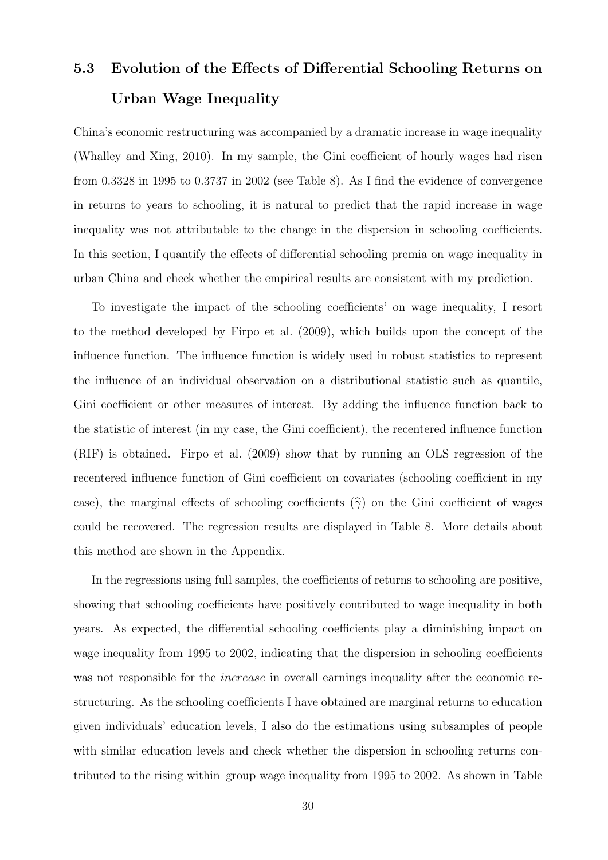## 5.3 Evolution of the Effects of Differential Schooling Returns on Urban Wage Inequality

China's economic restructuring was accompanied by a dramatic increase in wage inequality (Whalley and Xing, 2010). In my sample, the Gini coefficient of hourly wages had risen from 0.3328 in 1995 to 0.3737 in 2002 (see Table 8). As I find the evidence of convergence in returns to years to schooling, it is natural to predict that the rapid increase in wage inequality was not attributable to the change in the dispersion in schooling coefficients. In this section, I quantify the effects of differential schooling premia on wage inequality in urban China and check whether the empirical results are consistent with my prediction.

To investigate the impact of the schooling coefficients' on wage inequality, I resort to the method developed by Firpo et al. (2009), which builds upon the concept of the influence function. The influence function is widely used in robust statistics to represent the influence of an individual observation on a distributional statistic such as quantile, Gini coefficient or other measures of interest. By adding the influence function back to the statistic of interest (in my case, the Gini coefficient), the recentered influence function (RIF) is obtained. Firpo et al. (2009) show that by running an OLS regression of the recentered influence function of Gini coefficient on covariates (schooling coefficient in my case), the marginal effects of schooling coefficients  $(\hat{\gamma})$  on the Gini coefficient of wages could be recovered. The regression results are displayed in Table 8. More details about this method are shown in the Appendix.

In the regressions using full samples, the coefficients of returns to schooling are positive, showing that schooling coefficients have positively contributed to wage inequality in both years. As expected, the differential schooling coefficients play a diminishing impact on wage inequality from 1995 to 2002, indicating that the dispersion in schooling coefficients was not responsible for the *increase* in overall earnings inequality after the economic restructuring. As the schooling coefficients I have obtained are marginal returns to education given individuals' education levels, I also do the estimations using subsamples of people with similar education levels and check whether the dispersion in schooling returns contributed to the rising within–group wage inequality from 1995 to 2002. As shown in Table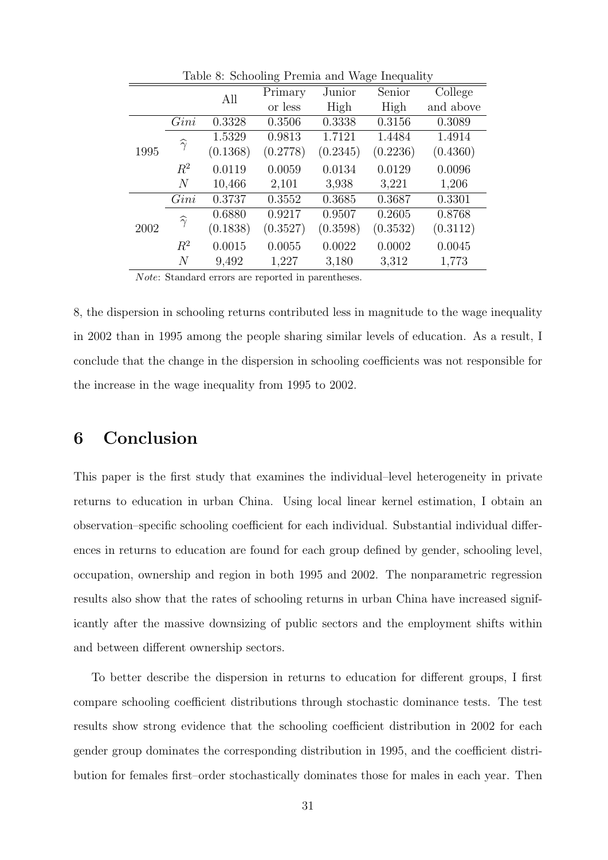| Lable 6. Schooling I felling and wage mequanty |                    |          |          |          |          |           |  |
|------------------------------------------------|--------------------|----------|----------|----------|----------|-----------|--|
|                                                |                    | All      | Primary  | Junior   | Senior   | College   |  |
|                                                |                    |          | or less  | High     | High     | and above |  |
|                                                | Gini               | 0.3328   | 0.3506   | 0.3338   | 0.3156   | 0.3089    |  |
|                                                |                    | 1.5329   | 0.9813   | 1.7121   | 1.4484   | 1.4914    |  |
| 1995                                           | $\widehat{\gamma}$ | (0.1368) | (0.2778) | (0.2345) | (0.2236) | (0.4360)  |  |
|                                                | $R^2$              | 0.0119   | 0.0059   | 0.0134   | 0.0129   | 0.0096    |  |
|                                                | $\overline{N}$     | 10,466   | 2,101    | 3,938    | 3,221    | 1,206     |  |
|                                                | Gini               | 0.3737   | 0.3552   | 0.3685   | 0.3687   | 0.3301    |  |
|                                                | $\widehat{\gamma}$ | 0.6880   | 0.9217   | 0.9507   | 0.2605   | 0.8768    |  |
| 2002                                           |                    | (0.1838) | (0.3527) | (0.3598) | (0.3532) | (0.3112)  |  |
|                                                | $R^2$              | 0.0015   | 0.0055   | 0.0022   | 0.0002   | 0.0045    |  |
|                                                | $\,N$              | 9,492    | 1,227    | 3,180    | 3,312    | 1,773     |  |

Table 8: Schooling Premia and Wage Inequality

Note: Standard errors are reported in parentheses.

8, the dispersion in schooling returns contributed less in magnitude to the wage inequality in 2002 than in 1995 among the people sharing similar levels of education. As a result, I conclude that the change in the dispersion in schooling coefficients was not responsible for the increase in the wage inequality from 1995 to 2002.

## 6 Conclusion

This paper is the first study that examines the individual–level heterogeneity in private returns to education in urban China. Using local linear kernel estimation, I obtain an observation–specific schooling coefficient for each individual. Substantial individual differences in returns to education are found for each group defined by gender, schooling level, occupation, ownership and region in both 1995 and 2002. The nonparametric regression results also show that the rates of schooling returns in urban China have increased significantly after the massive downsizing of public sectors and the employment shifts within and between different ownership sectors.

To better describe the dispersion in returns to education for different groups, I first compare schooling coefficient distributions through stochastic dominance tests. The test results show strong evidence that the schooling coefficient distribution in 2002 for each gender group dominates the corresponding distribution in 1995, and the coefficient distribution for females first–order stochastically dominates those for males in each year. Then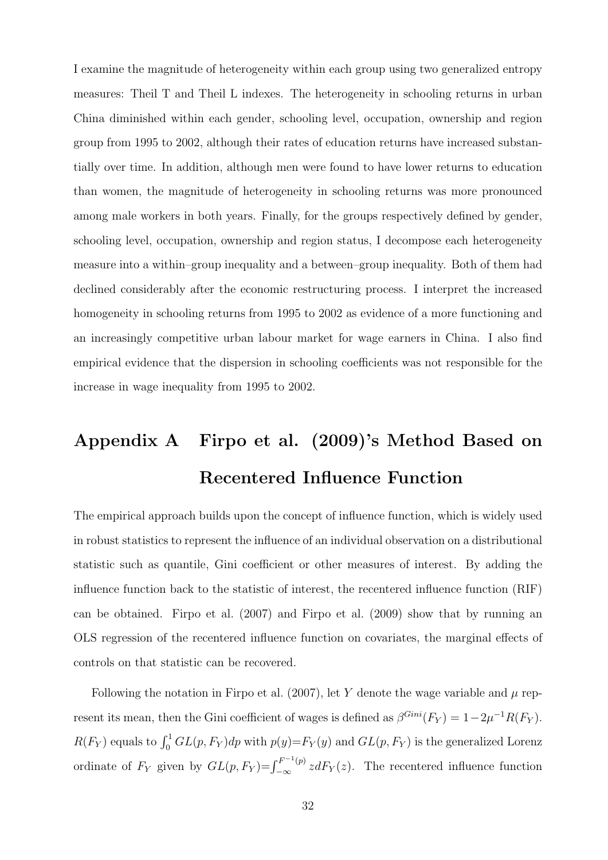I examine the magnitude of heterogeneity within each group using two generalized entropy measures: Theil T and Theil L indexes. The heterogeneity in schooling returns in urban China diminished within each gender, schooling level, occupation, ownership and region group from 1995 to 2002, although their rates of education returns have increased substantially over time. In addition, although men were found to have lower returns to education than women, the magnitude of heterogeneity in schooling returns was more pronounced among male workers in both years. Finally, for the groups respectively defined by gender, schooling level, occupation, ownership and region status, I decompose each heterogeneity measure into a within–group inequality and a between–group inequality. Both of them had declined considerably after the economic restructuring process. I interpret the increased homogeneity in schooling returns from 1995 to 2002 as evidence of a more functioning and an increasingly competitive urban labour market for wage earners in China. I also find empirical evidence that the dispersion in schooling coefficients was not responsible for the increase in wage inequality from 1995 to 2002.

# Appendix A Firpo et al. (2009)'s Method Based on Recentered Influence Function

The empirical approach builds upon the concept of influence function, which is widely used in robust statistics to represent the influence of an individual observation on a distributional statistic such as quantile, Gini coefficient or other measures of interest. By adding the influence function back to the statistic of interest, the recentered influence function (RIF) can be obtained. Firpo et al. (2007) and Firpo et al. (2009) show that by running an OLS regression of the recentered influence function on covariates, the marginal effects of controls on that statistic can be recovered.

Following the notation in Firpo et al. (2007), let Y denote the wage variable and  $\mu$  represent its mean, then the Gini coefficient of wages is defined as  $\beta^{Gini}(F_Y) = 1 - 2\mu^{-1}R(F_Y)$ .  $R(F_Y)$  equals to  $\int_0^1 GL(p, F_Y)dp$  with  $p(y)=F_Y(y)$  and  $GL(p, F_Y)$  is the generalized Lorenz ordinate of  $F_Y$  given by  $GL(p, F_Y) = \int_{-\infty}^{F^{-1}(p)} z dF_Y(z)$ . The recentered influence function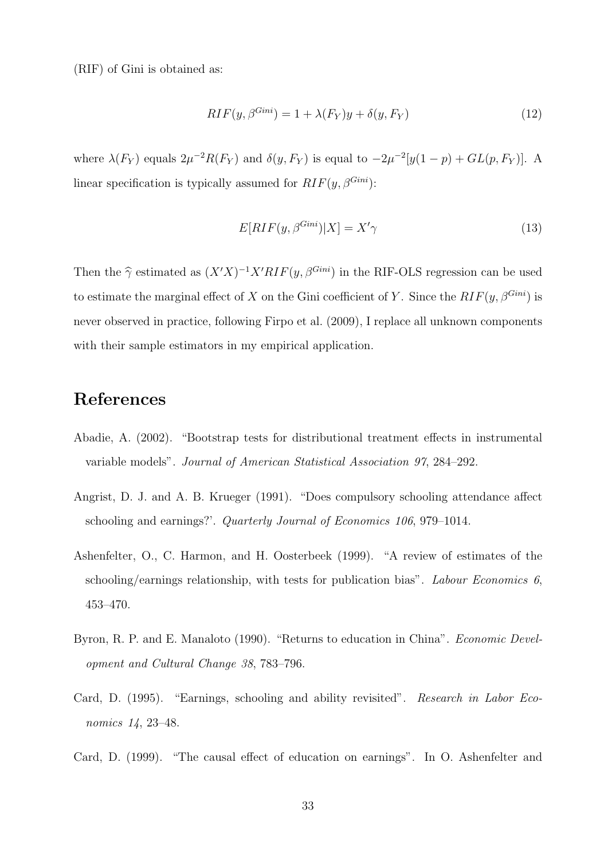(RIF) of Gini is obtained as:

$$
RIF(y, \beta^{Gini}) = 1 + \lambda(F_Y)y + \delta(y, F_Y)
$$
\n(12)

where  $\lambda(F_Y)$  equals  $2\mu^{-2}R(F_Y)$  and  $\delta(y, F_Y)$  is equal to  $-2\mu^{-2}[y(1-p) + GL(p, F_Y)]$ . A linear specification is typically assumed for  $RIF(y, \beta^{Gini})$ :

$$
E[RIF(y, \beta^{Gini})|X] = X'\gamma \tag{13}
$$

Then the  $\hat{\gamma}$  estimated as  $(X'X)^{-1}X'RIF(y, \beta^{Gini})$  in the RIF-OLS regression can be used to estimate the marginal effect of X on the Gini coefficient of Y. Since the  $RIF(y, \beta^{Gini})$  is never observed in practice, following Firpo et al. (2009), I replace all unknown components with their sample estimators in my empirical application.

## References

- Abadie, A. (2002). "Bootstrap tests for distributional treatment effects in instrumental variable models". Journal of American Statistical Association 97, 284–292.
- Angrist, D. J. and A. B. Krueger (1991). "Does compulsory schooling attendance affect schooling and earnings?'. Quarterly Journal of Economics 106, 979–1014.
- Ashenfelter, O., C. Harmon, and H. Oosterbeek (1999). "A review of estimates of the schooling/earnings relationship, with tests for publication bias". Labour Economics  $6$ , 453–470.
- Byron, R. P. and E. Manaloto (1990). "Returns to education in China". Economic Development and Cultural Change 38, 783–796.
- Card, D. (1995). "Earnings, schooling and ability revisited". Research in Labor Economics 14, 23–48.
- Card, D. (1999). "The causal effect of education on earnings". In O. Ashenfelter and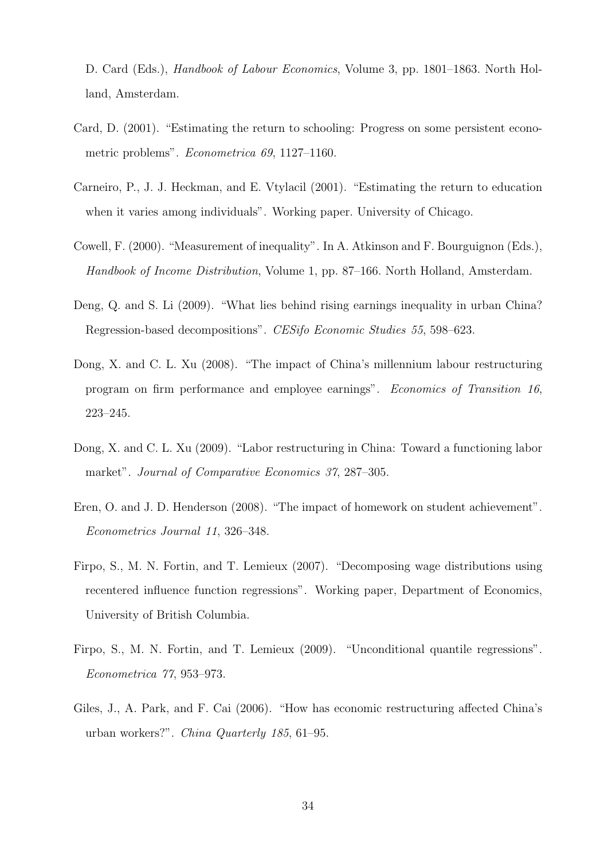D. Card (Eds.), Handbook of Labour Economics, Volume 3, pp. 1801–1863. North Holland, Amsterdam.

- Card, D. (2001). "Estimating the return to schooling: Progress on some persistent econometric problems". Econometrica 69, 1127–1160.
- Carneiro, P., J. J. Heckman, and E. Vtylacil (2001). "Estimating the return to education when it varies among individuals". Working paper. University of Chicago.
- Cowell, F. (2000). "Measurement of inequality". In A. Atkinson and F. Bourguignon (Eds.), Handbook of Income Distribution, Volume 1, pp. 87–166. North Holland, Amsterdam.
- Deng, Q. and S. Li (2009). "What lies behind rising earnings inequality in urban China? Regression-based decompositions". CESifo Economic Studies 55, 598–623.
- Dong, X. and C. L. Xu (2008). "The impact of China's millennium labour restructuring program on firm performance and employee earnings". Economics of Transition 16, 223–245.
- Dong, X. and C. L. Xu (2009). "Labor restructuring in China: Toward a functioning labor market". Journal of Comparative Economics 37, 287–305.
- Eren, O. and J. D. Henderson (2008). "The impact of homework on student achievement". Econometrics Journal 11, 326–348.
- Firpo, S., M. N. Fortin, and T. Lemieux (2007). "Decomposing wage distributions using recentered influence function regressions". Working paper, Department of Economics, University of British Columbia.
- Firpo, S., M. N. Fortin, and T. Lemieux (2009). "Unconditional quantile regressions". Econometrica 77, 953–973.
- Giles, J., A. Park, and F. Cai (2006). "How has economic restructuring affected China's urban workers?". China Quarterly 185, 61–95.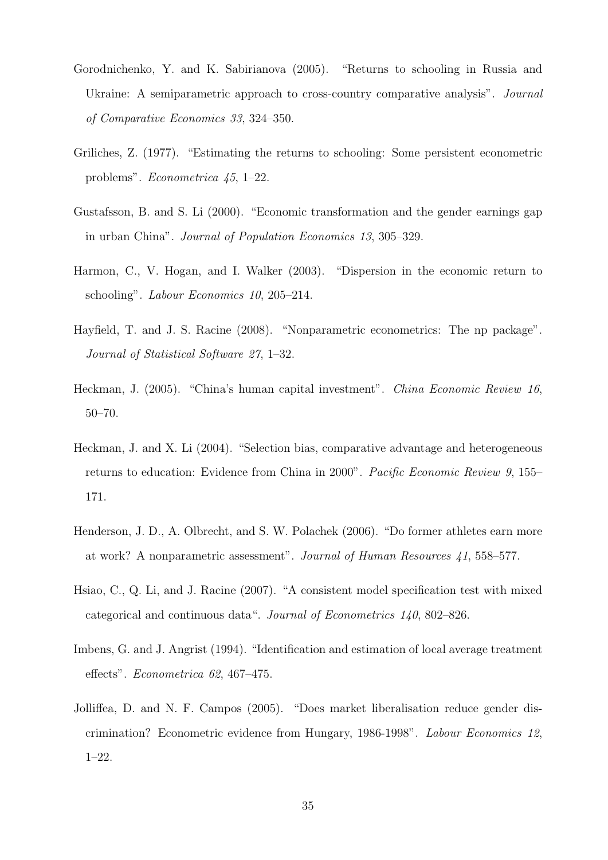- Gorodnichenko, Y. and K. Sabirianova (2005). "Returns to schooling in Russia and Ukraine: A semiparametric approach to cross-country comparative analysis". Journal of Comparative Economics 33, 324–350.
- Griliches, Z. (1977). "Estimating the returns to schooling: Some persistent econometric problems". Econometrica 45, 1–22.
- Gustafsson, B. and S. Li (2000). "Economic transformation and the gender earnings gap in urban China". Journal of Population Economics 13, 305–329.
- Harmon, C., V. Hogan, and I. Walker (2003). "Dispersion in the economic return to schooling". Labour Economics 10, 205–214.
- Hayfield, T. and J. S. Racine (2008). "Nonparametric econometrics: The np package". Journal of Statistical Software 27, 1–32.
- Heckman, J. (2005). "China's human capital investment". China Economic Review 16, 50–70.
- Heckman, J. and X. Li (2004). "Selection bias, comparative advantage and heterogeneous returns to education: Evidence from China in 2000". Pacific Economic Review 9, 155– 171.
- Henderson, J. D., A. Olbrecht, and S. W. Polachek (2006). "Do former athletes earn more at work? A nonparametric assessment". Journal of Human Resources 41, 558–577.
- Hsiao, C., Q. Li, and J. Racine (2007). "A consistent model specification test with mixed categorical and continuous data". Journal of Econometrics 140, 802–826.
- Imbens, G. and J. Angrist (1994). "Identification and estimation of local average treatment effects". Econometrica 62, 467–475.
- Jolliffea, D. and N. F. Campos (2005). "Does market liberalisation reduce gender discrimination? Econometric evidence from Hungary, 1986-1998". Labour Economics 12, 1–22.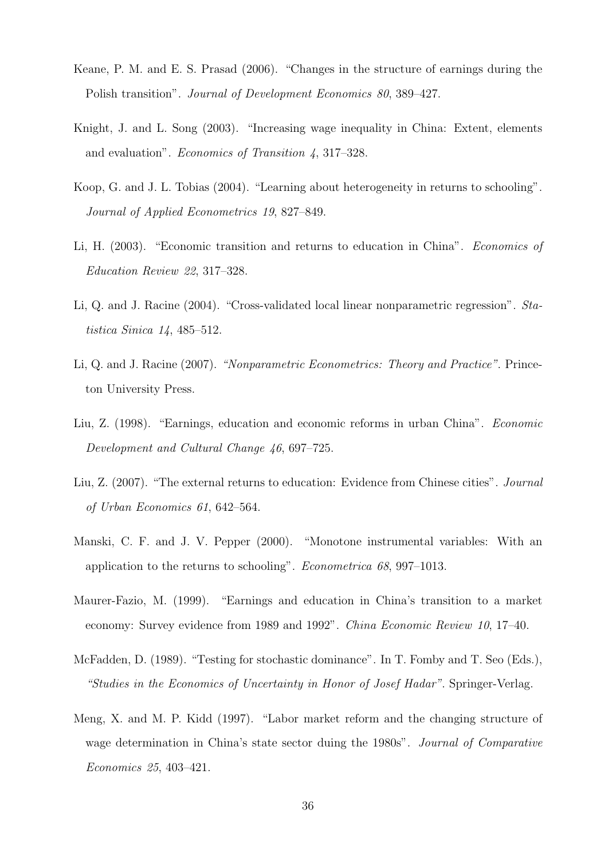- Keane, P. M. and E. S. Prasad (2006). "Changes in the structure of earnings during the Polish transition". Journal of Development Economics 80, 389–427.
- Knight, J. and L. Song (2003). "Increasing wage inequality in China: Extent, elements and evaluation". Economics of Transition 4, 317–328.
- Koop, G. and J. L. Tobias (2004). "Learning about heterogeneity in returns to schooling". Journal of Applied Econometrics 19, 827–849.
- Li, H. (2003). "Economic transition and returns to education in China". Economics of Education Review 22, 317–328.
- Li, Q. and J. Racine (2004). "Cross-validated local linear nonparametric regression". Statistica Sinica 14, 485–512.
- Li, Q. and J. Racine (2007). "Nonparametric Econometrics: Theory and Practice". Princeton University Press.
- Liu, Z. (1998). "Earnings, education and economic reforms in urban China". Economic Development and Cultural Change 46, 697–725.
- Liu, Z. (2007). "The external returns to education: Evidence from Chinese cities". Journal of Urban Economics 61, 642–564.
- Manski, C. F. and J. V. Pepper (2000). "Monotone instrumental variables: With an application to the returns to schooling". Econometrica 68, 997–1013.
- Maurer-Fazio, M. (1999). "Earnings and education in China's transition to a market economy: Survey evidence from 1989 and 1992". China Economic Review 10, 17–40.
- McFadden, D. (1989). "Testing for stochastic dominance". In T. Fomby and T. Seo (Eds.), "Studies in the Economics of Uncertainty in Honor of Josef Hadar". Springer-Verlag.
- Meng, X. and M. P. Kidd (1997). "Labor market reform and the changing structure of wage determination in China's state sector duing the 1980s". Journal of Comparative Economics 25, 403–421.